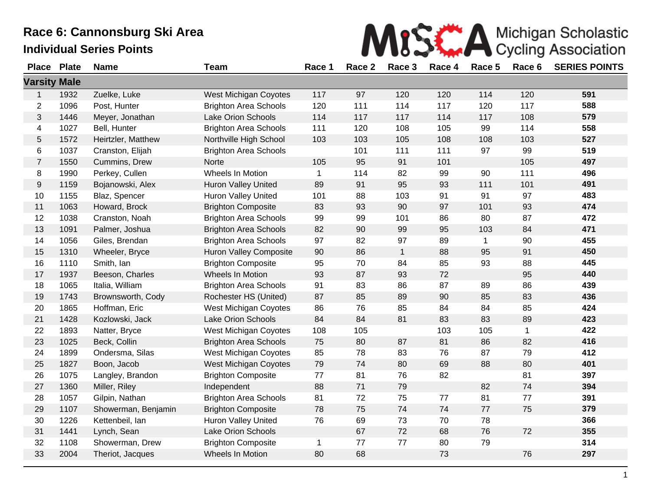|  |  |  | MISS A Michigan Scholastic                         |  |
|--|--|--|----------------------------------------------------|--|
|  |  |  | 1 Race 2 Race 3 Race 4 Race 5 Race 6 SERIES POINTS |  |

| <b>Place</b>        | <b>Plate</b> | <b>Name</b>         | <b>Team</b>                   | Race 1       | Race 2 | Race 3       | Race 4 | Race 5       | Race 6       | <b>SERIES POINTS</b> |
|---------------------|--------------|---------------------|-------------------------------|--------------|--------|--------------|--------|--------------|--------------|----------------------|
| <b>Varsity Male</b> |              |                     |                               |              |        |              |        |              |              |                      |
| $\mathbf{1}$        | 1932         | Zuelke, Luke        | West Michigan Coyotes         | 117          | 97     | 120          | 120    | 114          | 120          | 591                  |
| $\overline{2}$      | 1096         | Post, Hunter        | <b>Brighton Area Schools</b>  | 120          | 111    | 114          | 117    | 120          | 117          | 588                  |
| 3                   | 1446         | Meyer, Jonathan     | <b>Lake Orion Schools</b>     | 114          | 117    | 117          | 114    | 117          | 108          | 579                  |
| 4                   | 1027         | Bell, Hunter        | <b>Brighton Area Schools</b>  | 111          | 120    | 108          | 105    | 99           | 114          | 558                  |
| 5                   | 1572         | Heirtzler, Matthew  | Northville High School        | 103          | 103    | 105          | 108    | 108          | 103          | 527                  |
| 6                   | 1037         | Cranston, Elijah    | <b>Brighton Area Schools</b>  |              | 101    | 111          | 111    | 97           | 99           | 519                  |
| $\overline{7}$      | 1550         | Cummins, Drew       | Norte                         | 105          | 95     | 91           | 101    |              | 105          | 497                  |
| 8                   | 1990         | Perkey, Cullen      | Wheels In Motion              | $\mathbf 1$  | 114    | 82           | 99     | 90           | 111          | 496                  |
| 9                   | 1159         | Bojanowski, Alex    | <b>Huron Valley United</b>    | 89           | 91     | 95           | 93     | 111          | 101          | 491                  |
| 10                  | 1155         | Blaz, Spencer       | Huron Valley United           | 101          | 88     | 103          | 91     | 91           | 97           | 483                  |
| 11                  | 1063         | Howard, Brock       | <b>Brighton Composite</b>     | 83           | 93     | 90           | 97     | 101          | 93           | 474                  |
| 12                  | 1038         | Cranston, Noah      | <b>Brighton Area Schools</b>  | 99           | 99     | 101          | 86     | 80           | 87           | 472                  |
| 13                  | 1091         | Palmer, Joshua      | <b>Brighton Area Schools</b>  | 82           | 90     | 99           | 95     | 103          | 84           | 471                  |
| 14                  | 1056         | Giles, Brendan      | <b>Brighton Area Schools</b>  | 97           | 82     | 97           | 89     | $\mathbf{1}$ | 90           | 455                  |
| 15                  | 1310         | Wheeler, Bryce      | <b>Huron Valley Composite</b> | 90           | 86     | $\mathbf{1}$ | 88     | 95           | 91           | 450                  |
| 16                  | 1110         | Smith, Ian          | <b>Brighton Composite</b>     | 95           | 70     | 84           | 85     | 93           | 88           | 445                  |
| 17                  | 1937         | Beeson, Charles     | Wheels In Motion              | 93           | 87     | 93           | 72     |              | 95           | 440                  |
| 18                  | 1065         | Italia, William     | <b>Brighton Area Schools</b>  | 91           | 83     | 86           | 87     | 89           | 86           | 439                  |
| 19                  | 1743         | Brownsworth, Cody   | Rochester HS (United)         | 87           | 85     | 89           | 90     | 85           | 83           | 436                  |
| 20                  | 1865         | Hoffman, Eric       | West Michigan Coyotes         | 86           | 76     | 85           | 84     | 84           | 85           | 424                  |
| 21                  | 1428         | Kozlowski, Jack     | Lake Orion Schools            | 84           | 84     | 81           | 83     | 83           | 89           | 423                  |
| 22                  | 1893         | Natter, Bryce       | West Michigan Coyotes         | 108          | 105    |              | 103    | 105          | $\mathbf{1}$ | 422                  |
| 23                  | 1025         | Beck, Collin        | <b>Brighton Area Schools</b>  | 75           | 80     | 87           | 81     | 86           | 82           | 416                  |
| 24                  | 1899         | Ondersma, Silas     | West Michigan Coyotes         | 85           | 78     | 83           | 76     | 87           | 79           | 412                  |
| 25                  | 1827         | Boon, Jacob         | West Michigan Coyotes         | 79           | 74     | 80           | 69     | 88           | 80           | 401                  |
| 26                  | 1075         | Langley, Brandon    | <b>Brighton Composite</b>     | 77           | 81     | 76           | 82     |              | 81           | 397                  |
| 27                  | 1360         | Miller, Riley       | Independent                   | 88           | 71     | 79           |        | 82           | 74           | 394                  |
| 28                  | 1057         | Gilpin, Nathan      | <b>Brighton Area Schools</b>  | 81           | 72     | 75           | 77     | 81           | 77           | 391                  |
| 29                  | 1107         | Showerman, Benjamin | <b>Brighton Composite</b>     | 78           | 75     | 74           | 74     | 77           | 75           | 379                  |
| 30                  | 1226         | Kettenbeil, Ian     | <b>Huron Valley United</b>    | 76           | 69     | 73           | 70     | 78           |              | 366                  |
| 31                  | 1441         | Lynch, Sean         | <b>Lake Orion Schools</b>     |              | 67     | 72           | 68     | 76           | 72           | 355                  |
| 32                  | 1108         | Showerman, Drew     | <b>Brighton Composite</b>     | $\mathbf{1}$ | 77     | 77           | 80     | 79           |              | 314                  |
| 33                  | 2004         | Theriot, Jacques    | Wheels In Motion              | 80           | 68     |              | 73     |              | 76           | 297                  |
|                     |              |                     |                               |              |        |              |        |              |              |                      |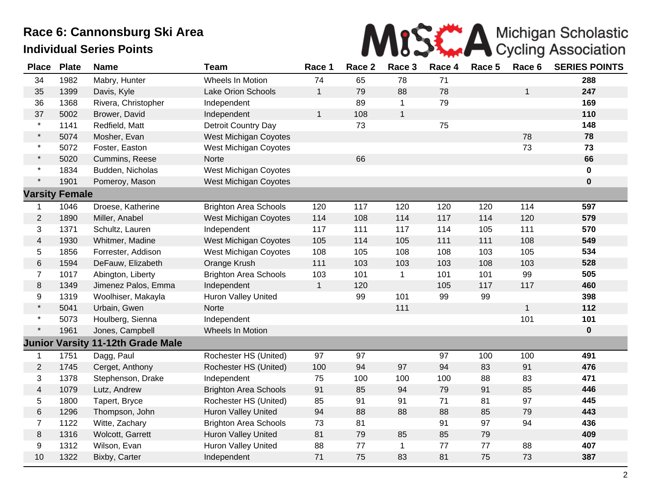

| <b>Place</b>   | <b>Plate</b>          | <b>Name</b>         | <b>Team</b>                  | Race 1       | Race 2 | Race 3       | Race 4 | Race 5 | Race 6       | <b>SERIES POINTS</b> |
|----------------|-----------------------|---------------------|------------------------------|--------------|--------|--------------|--------|--------|--------------|----------------------|
| 34             | 1982                  | Mabry, Hunter       | Wheels In Motion             | 74           | 65     | 78           | 71     |        |              | 288                  |
| 35             | 1399                  | Davis, Kyle         | Lake Orion Schools           | $\mathbf{1}$ | 79     | 88           | 78     |        | 1            | 247                  |
| 36             | 1368                  | Rivera, Christopher | Independent                  |              | 89     | 1            | 79     |        |              | 169                  |
| 37             | 5002                  | Brower, David       | Independent                  | $\mathbf{1}$ | 108    | $\mathbf{1}$ |        |        |              | 110                  |
| $\star$        | 1141                  | Redfield, Matt      | Detroit Country Day          |              | 73     |              | 75     |        |              | 148                  |
| $\star$        | 5074                  | Mosher, Evan        | <b>West Michigan Coyotes</b> |              |        |              |        |        | 78           | 78                   |
| $\star$        | 5072                  | Foster, Easton      | <b>West Michigan Coyotes</b> |              |        |              |        |        | 73           | 73                   |
| $\star$        | 5020                  | Cummins, Reese      | Norte                        |              | 66     |              |        |        |              | 66                   |
| $\star$        | 1834                  | Budden, Nicholas    | West Michigan Coyotes        |              |        |              |        |        |              | $\mathbf 0$          |
| $\star$        | 1901                  | Pomeroy, Mason      | <b>West Michigan Coyotes</b> |              |        |              |        |        |              | $\pmb{0}$            |
|                | <b>Varsity Female</b> |                     |                              |              |        |              |        |        |              |                      |
| 1              | 1046                  | Droese, Katherine   | <b>Brighton Area Schools</b> | 120          | 117    | 120          | 120    | 120    | 114          | 597                  |
| $\overline{c}$ | 1890                  | Miller, Anabel      | <b>West Michigan Coyotes</b> | 114          | 108    | 114          | 117    | 114    | 120          | 579                  |
| 3              | 1371                  | Schultz, Lauren     | Independent                  | 117          | 111    | 117          | 114    | 105    | 111          | 570                  |
| 4              | 1930                  | Whitmer, Madine     | <b>West Michigan Coyotes</b> | 105          | 114    | 105          | 111    | 111    | 108          | 549                  |
| 5              | 1856                  | Forrester, Addison  | West Michigan Coyotes        | 108          | 105    | 108          | 108    | 103    | 105          | 534                  |
| 6              | 1594                  | DeFauw, Elizabeth   | Orange Krush                 | 111          | 103    | 103          | 103    | 108    | 103          | 528                  |
| $\overline{7}$ | 1017                  | Abington, Liberty   | <b>Brighton Area Schools</b> | 103          | 101    | $\mathbf 1$  | 101    | 101    | 99           | 505                  |
| 8              | 1349                  | Jimenez Palos, Emma | Independent                  | $\mathbf{1}$ | 120    |              | 105    | 117    | 117          | 460                  |
| 9              | 1319                  | Woolhiser, Makayla  | Huron Valley United          |              | 99     | 101          | 99     | 99     |              | 398                  |
| $\star$        | 5041                  | Urbain, Gwen        | Norte                        |              |        | 111          |        |        | $\mathbf{1}$ | 112                  |
| $\star$        | 5073                  | Houlberg, Sienna    | Independent                  |              |        |              |        |        | 101          | 101                  |
| $\star$        | 1961                  | Jones, Campbell     | Wheels In Motion             |              |        |              |        |        |              | $\bf{0}$             |
|                | <b>Junior Varsity</b> | 11-12th Grade Male  |                              |              |        |              |        |        |              |                      |
| 1              | 1751                  | Dagg, Paul          | Rochester HS (United)        | 97           | 97     |              | 97     | 100    | 100          | 491                  |
| $\overline{2}$ | 1745                  | Cerget, Anthony     | Rochester HS (United)        | 100          | 94     | 97           | 94     | 83     | 91           | 476                  |
| 3              | 1378                  | Stephenson, Drake   | Independent                  | 75           | 100    | 100          | 100    | 88     | 83           | 471                  |
| 4              | 1079                  | Lutz, Andrew        | <b>Brighton Area Schools</b> | 91           | 85     | 94           | 79     | 91     | 85           | 446                  |
| 5              | 1800                  | Tapert, Bryce       | Rochester HS (United)        | 85           | 91     | 91           | 71     | 81     | 97           | 445                  |
| 6              | 1296                  | Thompson, John      | Huron Valley United          | 94           | 88     | 88           | 88     | 85     | 79           | 443                  |
| $\overline{7}$ | 1122                  | Witte, Zachary      | <b>Brighton Area Schools</b> | 73           | 81     |              | 91     | 97     | 94           | 436                  |
| 8              | 1316                  | Wolcott, Garrett    | Huron Valley United          | 81           | 79     | 85           | 85     | 79     |              | 409                  |
| 9              | 1312                  | Wilson, Evan        | Huron Valley United          | 88           | 77     | $\mathbf{1}$ | 77     | 77     | 88           | 407                  |
| 10             | 1322                  | Bixby, Carter       | Independent                  | 71           | 75     | 83           | 81     | 75     | 73           | 387                  |
|                |                       |                     |                              |              |        |              |        |        |              |                      |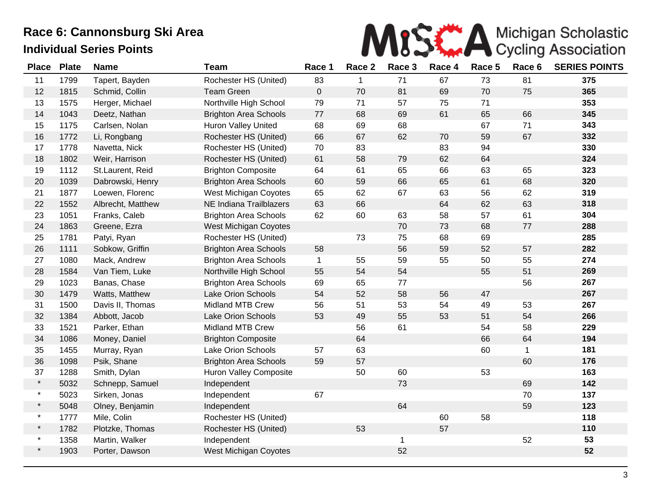

| <b>Place</b> | <b>Plate</b> | <b>Name</b>       | <b>Team</b>                  | Race 1       | Race 2      | Race 3       | Race 4 | Race 5 | Race 6       | <b>SERIES POINTS</b> |
|--------------|--------------|-------------------|------------------------------|--------------|-------------|--------------|--------|--------|--------------|----------------------|
| 11           | 1799         | Tapert, Bayden    | Rochester HS (United)        | 83           | $\mathbf 1$ | 71           | 67     | 73     | 81           | 375                  |
| 12           | 1815         | Schmid, Collin    | <b>Team Green</b>            | $\pmb{0}$    | 70          | 81           | 69     | 70     | 75           | 365                  |
| 13           | 1575         | Herger, Michael   | Northville High School       | 79           | 71          | 57           | 75     | 71     |              | 353                  |
| 14           | 1043         | Deetz, Nathan     | <b>Brighton Area Schools</b> | 77           | 68          | 69           | 61     | 65     | 66           | 345                  |
| 15           | 1175         | Carlsen, Nolan    | <b>Huron Valley United</b>   | 68           | 69          | 68           |        | 67     | 71           | 343                  |
| 16           | 1772         | Li, Rongbang      | Rochester HS (United)        | 66           | 67          | 62           | $70\,$ | 59     | 67           | 332                  |
| 17           | 1778         | Navetta, Nick     | Rochester HS (United)        | 70           | 83          |              | 83     | 94     |              | 330                  |
| 18           | 1802         | Weir, Harrison    | Rochester HS (United)        | 61           | 58          | 79           | 62     | 64     |              | 324                  |
| 19           | 1112         | St.Laurent, Reid  | <b>Brighton Composite</b>    | 64           | 61          | 65           | 66     | 63     | 65           | 323                  |
| 20           | 1039         | Dabrowski, Henry  | <b>Brighton Area Schools</b> | 60           | 59          | 66           | 65     | 61     | 68           | 320                  |
| 21           | 1877         | Loewen, Florenc   | <b>West Michigan Coyotes</b> | 65           | 62          | 67           | 63     | 56     | 62           | 319                  |
| 22           | 1552         | Albrecht, Matthew | NE Indiana Trailblazers      | 63           | 66          |              | 64     | 62     | 63           | 318                  |
| 23           | 1051         | Franks, Caleb     | <b>Brighton Area Schools</b> | 62           | 60          | 63           | 58     | 57     | 61           | 304                  |
| 24           | 1863         | Greene, Ezra      | West Michigan Coyotes        |              |             | 70           | 73     | 68     | 77           | 288                  |
| 25           | 1781         | Patyi, Ryan       | Rochester HS (United)        |              | 73          | 75           | 68     | 69     |              | 285                  |
| 26           | 1111         | Sobkow, Griffin   | <b>Brighton Area Schools</b> | 58           |             | 56           | 59     | 52     | 57           | 282                  |
| 27           | 1080         | Mack, Andrew      | <b>Brighton Area Schools</b> | $\mathbf{1}$ | 55          | 59           | 55     | 50     | 55           | 274                  |
| 28           | 1584         | Van Tiem, Luke    | Northville High School       | 55           | 54          | 54           |        | 55     | 51           | 269                  |
| 29           | 1023         | Banas, Chase      | <b>Brighton Area Schools</b> | 69           | 65          | 77           |        |        | 56           | 267                  |
| 30           | 1479         | Watts, Matthew    | Lake Orion Schools           | 54           | 52          | 58           | 56     | 47     |              | 267                  |
| 31           | 1500         | Davis II, Thomas  | <b>Midland MTB Crew</b>      | 56           | 51          | 53           | 54     | 49     | 53           | 267                  |
| 32           | 1384         | Abbott, Jacob     | <b>Lake Orion Schools</b>    | 53           | 49          | 55           | 53     | 51     | 54           | 266                  |
| 33           | 1521         | Parker, Ethan     | <b>Midland MTB Crew</b>      |              | 56          | 61           |        | 54     | 58           | 229                  |
| 34           | 1086         | Money, Daniel     | <b>Brighton Composite</b>    |              | 64          |              |        | 66     | 64           | 194                  |
| 35           | 1455         | Murray, Ryan      | <b>Lake Orion Schools</b>    | 57           | 63          |              |        | 60     | $\mathbf{1}$ | 181                  |
| 36           | 1098         | Psik, Shane       | <b>Brighton Area Schools</b> | 59           | 57          |              |        |        | 60           | 176                  |
| 37           | 1288         | Smith, Dylan      | Huron Valley Composite       |              | 50          | 60           |        | 53     |              | 163                  |
| $\star$      | 5032         | Schnepp, Samuel   | Independent                  |              |             | 73           |        |        | 69           | 142                  |
| $\star$      | 5023         | Sirken, Jonas     | Independent                  | 67           |             |              |        |        | 70           | 137                  |
| $\star$      | 5048         | Olney, Benjamin   | Independent                  |              |             | 64           |        |        | 59           | 123                  |
| $\star$      | 1777         | Mile, Colin       | Rochester HS (United)        |              |             |              | 60     | 58     |              | 118                  |
| $\star$      | 1782         | Plotzke, Thomas   | Rochester HS (United)        |              | 53          |              | 57     |        |              | 110                  |
| $\star$      | 1358         | Martin, Walker    | Independent                  |              |             | $\mathbf{1}$ |        |        | 52           | 53                   |
| $\star$      | 1903         | Porter, Dawson    | West Michigan Coyotes        |              |             | 52           |        |        |              | 52                   |
|              |              |                   |                              |              |             |              |        |        |              |                      |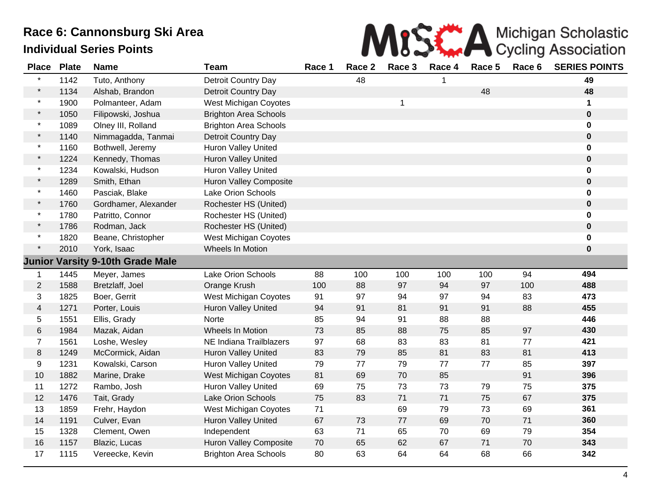

| <b>Place</b>             | <b>Plate</b> | <b>Name</b>                             | <b>Team</b>                   | Race 1 | Race 2 | Race 3 | Race 4 | Race 5 | Race 6 | <b>SERIES POINTS</b> |
|--------------------------|--------------|-----------------------------------------|-------------------------------|--------|--------|--------|--------|--------|--------|----------------------|
| $\star$                  | 1142         | Tuto, Anthony                           | Detroit Country Day           |        | 48     |        |        |        |        | 49                   |
| $\star$                  | 1134         | Alshab, Brandon                         | Detroit Country Day           |        |        |        |        | 48     |        | 48                   |
| $\star$                  | 1900         | Polmanteer, Adam                        | <b>West Michigan Coyotes</b>  |        |        | 1      |        |        |        | 1                    |
| $\star$                  | 1050         | Filipowski, Joshua                      | <b>Brighton Area Schools</b>  |        |        |        |        |        |        | $\pmb{0}$            |
| $\star$                  | 1089         | Olney III, Rolland                      | <b>Brighton Area Schools</b>  |        |        |        |        |        |        | 0                    |
| $\star$                  | 1140         | Nimmagadda, Tanmai                      | Detroit Country Day           |        |        |        |        |        |        | 0                    |
| $\star$                  | 1160         | Bothwell, Jeremy                        | Huron Valley United           |        |        |        |        |        |        | 0                    |
| $\star$                  | 1224         | Kennedy, Thomas                         | Huron Valley United           |        |        |        |        |        |        | $\mathbf 0$          |
| $\star$                  | 1234         | Kowalski, Hudson                        | Huron Valley United           |        |        |        |        |        |        | 0                    |
| $\star$                  | 1289         | Smith, Ethan                            | <b>Huron Valley Composite</b> |        |        |        |        |        |        | 0                    |
| $\star$                  | 1460         | Pasciak, Blake                          | <b>Lake Orion Schools</b>     |        |        |        |        |        |        | 0                    |
| $\star$                  | 1760         | Gordhamer, Alexander                    | Rochester HS (United)         |        |        |        |        |        |        | $\pmb{0}$            |
| $\star$                  | 1780         | Patritto, Connor                        | Rochester HS (United)         |        |        |        |        |        |        | 0                    |
| $\star$                  | 1786         | Rodman, Jack                            | Rochester HS (United)         |        |        |        |        |        |        | 0                    |
| $\star$                  | 1820         | Beane, Christopher                      | West Michigan Coyotes         |        |        |        |        |        |        | 0                    |
| $\star$                  | 2010         | York, Isaac                             | Wheels In Motion              |        |        |        |        |        |        | 0                    |
|                          |              | <b>Junior Varsity 9-10th Grade Male</b> |                               |        |        |        |        |        |        |                      |
| 1                        | 1445         | Meyer, James                            | Lake Orion Schools            | 88     | 100    | 100    | 100    | 100    | 94     | 494                  |
| $\overline{2}$           | 1588         | Bretzlaff, Joel                         | Orange Krush                  | 100    | 88     | 97     | 94     | 97     | 100    | 488                  |
| 3                        | 1825         | Boer, Gerrit                            | <b>West Michigan Coyotes</b>  | 91     | 97     | 94     | 97     | 94     | 83     | 473                  |
| $\overline{\mathcal{A}}$ | 1271         | Porter, Louis                           | Huron Valley United           | 94     | 91     | 81     | 91     | 91     | 88     | 455                  |
| 5                        | 1551         | Ellis, Grady                            | Norte                         | 85     | 94     | 91     | 88     | 88     |        | 446                  |
| $\,6$                    | 1984         | Mazak, Aidan                            | Wheels In Motion              | 73     | 85     | 88     | 75     | 85     | 97     | 430                  |
| $\overline{7}$           | 1561         | Loshe, Wesley                           | NE Indiana Trailblazers       | 97     | 68     | 83     | 83     | 81     | 77     | 421                  |
| 8                        | 1249         | McCormick, Aidan                        | <b>Huron Valley United</b>    | 83     | 79     | 85     | 81     | 83     | 81     | 413                  |
| 9                        | 1231         | Kowalski, Carson                        | <b>Huron Valley United</b>    | 79     | 77     | 79     | 77     | 77     | 85     | 397                  |
| 10                       | 1882         | Marine, Drake                           | <b>West Michigan Coyotes</b>  | 81     | 69     | 70     | 85     |        | 91     | 396                  |
| 11                       | 1272         | Rambo, Josh                             | Huron Valley United           | 69     | 75     | 73     | 73     | 79     | 75     | 375                  |
| 12                       | 1476         | Tait, Grady                             | Lake Orion Schools            | 75     | 83     | 71     | 71     | 75     | 67     | 375                  |
| 13                       | 1859         | Frehr, Haydon                           | <b>West Michigan Coyotes</b>  | 71     |        | 69     | 79     | 73     | 69     | 361                  |
| 14                       | 1191         | Culver, Evan                            | Huron Valley United           | 67     | 73     | 77     | 69     | 70     | 71     | 360                  |
| 15                       | 1328         | Clement, Owen                           | Independent                   | 63     | 71     | 65     | 70     | 69     | 79     | 354                  |
| 16                       | 1157         | Blazic, Lucas                           | Huron Valley Composite        | 70     | 65     | 62     | 67     | 71     | 70     | 343                  |
| 17                       | 1115         | Vereecke, Kevin                         | <b>Brighton Area Schools</b>  | 80     | 63     | 64     | 64     | 68     | 66     | 342                  |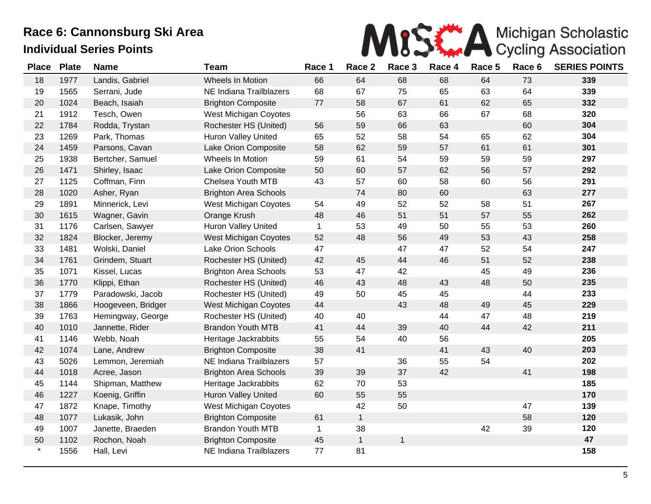

| <b>Place</b> | <b>Plate</b> | <b>Name</b>        | <b>Team</b>                  | Race 1       | Race 2       | Race 3       | Race 4 | Race 5 | Race 6 | <b>SERIES POINTS</b> |
|--------------|--------------|--------------------|------------------------------|--------------|--------------|--------------|--------|--------|--------|----------------------|
| 18           | 1977         | Landis, Gabriel    | Wheels In Motion             | 66           | 64           | 68           | 68     | 64     | 73     | 339                  |
| 19           | 1565         | Serrani, Jude      | NE Indiana Trailblazers      | 68           | 67           | 75           | 65     | 63     | 64     | 339                  |
| 20           | 1024         | Beach, Isaiah      | <b>Brighton Composite</b>    | 77           | 58           | 67           | 61     | 62     | 65     | 332                  |
| 21           | 1912         | Tesch, Owen        | West Michigan Coyotes        |              | 56           | 63           | 66     | 67     | 68     | 320                  |
| 22           | 1784         | Rodda, Trystan     | Rochester HS (United)        | 56           | 59           | 66           | 63     |        | 60     | 304                  |
| 23           | 1269         | Park, Thomas       | <b>Huron Valley United</b>   | 65           | 52           | 58           | 54     | 65     | 62     | 304                  |
| 24           | 1459         | Parsons, Cavan     | Lake Orion Composite         | 58           | 62           | 59           | 57     | 61     | 61     | 301                  |
| 25           | 1938         | Bertcher, Samuel   | Wheels In Motion             | 59           | 61           | 54           | 59     | 59     | 59     | 297                  |
| 26           | 1471         | Shirley, Isaac     | Lake Orion Composite         | 50           | 60           | 57           | 62     | 56     | 57     | 292                  |
| 27           | 1125         | Coffman, Finn      | Chelsea Youth MTB            | 43           | 57           | 60           | 58     | 60     | 56     | 291                  |
| 28           | 1020         | Asher, Ryan        | <b>Brighton Area Schools</b> |              | 74           | 80           | 60     |        | 63     | 277                  |
| 29           | 1891         | Minnerick, Levi    | West Michigan Coyotes        | 54           | 49           | 52           | 52     | 58     | 51     | 267                  |
| 30           | 1615         | Wagner, Gavin      | Orange Krush                 | 48           | 46           | 51           | 51     | 57     | 55     | 262                  |
| 31           | 1176         | Carlsen, Sawyer    | Huron Valley United          | $\mathbf{1}$ | 53           | 49           | 50     | 55     | 53     | 260                  |
| 32           | 1824         | Blocker, Jeremy    | <b>West Michigan Coyotes</b> | 52           | 48           | 56           | 49     | 53     | 43     | 258                  |
| 33           | 1481         | Wolski, Daniel     | Lake Orion Schools           | 47           |              | 47           | 47     | 52     | 54     | 247                  |
| 34           | 1761         | Grindem, Stuart    | Rochester HS (United)        | 42           | 45           | 44           | 46     | 51     | 52     | 238                  |
| 35           | 1071         | Kissel, Lucas      | <b>Brighton Area Schools</b> | 53           | 47           | 42           |        | 45     | 49     | 236                  |
| 36           | 1770         | Klippi, Ethan      | Rochester HS (United)        | 46           | 43           | 48           | 43     | 48     | 50     | 235                  |
| 37           | 1779         | Paradowski, Jacob  | Rochester HS (United)        | 49           | 50           | 45           | 45     |        | 44     | 233                  |
| 38           | 1866         | Hoogeveen, Bridger | <b>West Michigan Coyotes</b> | 44           |              | 43           | 48     | 49     | 45     | 229                  |
| 39           | 1763         | Hemingway, George  | Rochester HS (United)        | 40           | 40           |              | 44     | 47     | 48     | 219                  |
| 40           | 1010         | Jannette, Rider    | <b>Brandon Youth MTB</b>     | 41           | 44           | 39           | 40     | 44     | 42     | 211                  |
| 41           | 1146         | Webb, Noah         | Heritage Jackrabbits         | 55           | 54           | 40           | 56     |        |        | 205                  |
| 42           | 1074         | Lane, Andrew       | <b>Brighton Composite</b>    | 38           | 41           |              | 41     | 43     | 40     | 203                  |
| 43           | 5026         | Lemmon, Jeremiah   | NE Indiana Trailblazers      | 57           |              | 36           | 55     | 54     |        | 202                  |
| 44           | 1018         | Acree, Jason       | <b>Brighton Area Schools</b> | 39           | 39           | 37           | 42     |        | 41     | 198                  |
| 45           | 1144         | Shipman, Matthew   | Heritage Jackrabbits         | 62           | 70           | 53           |        |        |        | 185                  |
| 46           | 1227         | Koenig, Griffin    | <b>Huron Valley United</b>   | 60           | 55           | 55           |        |        |        | 170                  |
| 47           | 1872         | Knape, Timothy     | West Michigan Coyotes        |              | 42           | 50           |        |        | 47     | 139                  |
| 48           | 1077         | Lukasik, John      | <b>Brighton Composite</b>    | 61           | $\mathbf{1}$ |              |        |        | 58     | 120                  |
| 49           | 1007         | Janette, Braeden   | <b>Brandon Youth MTB</b>     | $\mathbf{1}$ | 38           |              |        | 42     | 39     | 120                  |
| 50           | 1102         | Rochon, Noah       | <b>Brighton Composite</b>    | 45           | $\mathbf{1}$ | $\mathbf{1}$ |        |        |        | 47                   |
| $\star$      | 1556         | Hall, Levi         | NE Indiana Trailblazers      | 77           | 81           |              |        |        |        | 158                  |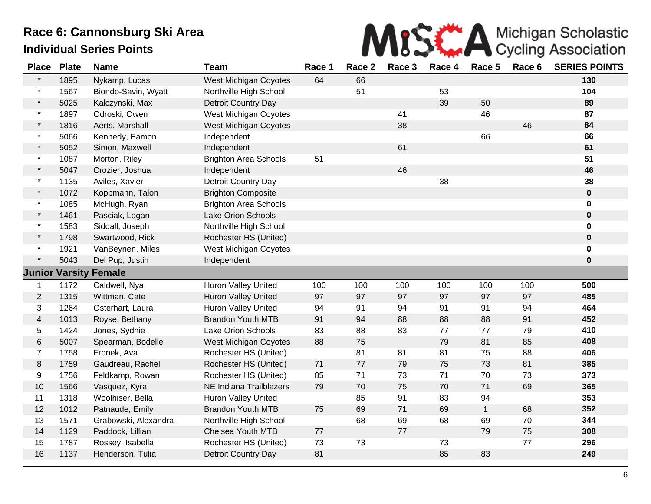

| <b>Place</b>   | <b>Plate</b> | <b>Name</b>                  | <b>Team</b>                  | Race 1 | Race 2 | Race 3 | Race 4 | Race 5      | Race 6 | <b>SERIES POINTS</b> |
|----------------|--------------|------------------------------|------------------------------|--------|--------|--------|--------|-------------|--------|----------------------|
| $\star$        | 1895         | Nykamp, Lucas                | <b>West Michigan Coyotes</b> | 64     | 66     |        |        |             |        | 130                  |
| $\star$        | 1567         | Biondo-Savin, Wyatt          | Northville High School       |        | 51     |        | 53     |             |        | 104                  |
| $\star$        | 5025         | Kalczynski, Max              | Detroit Country Day          |        |        |        | 39     | 50          |        | 89                   |
| $\star$        | 1897         | Odroski, Owen                | <b>West Michigan Coyotes</b> |        |        | 41     |        | 46          |        | 87                   |
| $\star$        | 1816         | Aerts, Marshall              | <b>West Michigan Coyotes</b> |        |        | 38     |        |             | 46     | 84                   |
| $\star$        | 5066         | Kennedy, Eamon               | Independent                  |        |        |        |        | 66          |        | 66                   |
| $\star$        | 5052         | Simon, Maxwell               | Independent                  |        |        | 61     |        |             |        | 61                   |
| $\star$        | 1087         | Morton, Riley                | <b>Brighton Area Schools</b> | 51     |        |        |        |             |        | 51                   |
| $\star$        | 5047         | Crozier, Joshua              | Independent                  |        |        | 46     |        |             |        | 46                   |
| $\star$        | 1135         | Aviles, Xavier               | <b>Detroit Country Day</b>   |        |        |        | 38     |             |        | 38                   |
| $\star$        | 1072         | Koppmann, Talon              | <b>Brighton Composite</b>    |        |        |        |        |             |        | 0                    |
| $\star$        | 1085         | McHugh, Ryan                 | <b>Brighton Area Schools</b> |        |        |        |        |             |        | 0                    |
| $\star$        | 1461         | Pasciak, Logan               | Lake Orion Schools           |        |        |        |        |             |        | 0                    |
| $\star$        | 1583         | Siddall, Joseph              | Northville High School       |        |        |        |        |             |        | 0                    |
| $\star$        | 1798         | Swartwood, Rick              | Rochester HS (United)        |        |        |        |        |             |        | $\mathbf 0$          |
| $\star$        | 1921         | VanBeynen, Miles             | West Michigan Coyotes        |        |        |        |        |             |        | 0                    |
| $\star$        | 5043         | Del Pup, Justin              | Independent                  |        |        |        |        |             |        | 0                    |
|                |              | <b>Junior Varsity Female</b> |                              |        |        |        |        |             |        |                      |
| $\mathbf 1$    | 1172         | Caldwell, Nya                | Huron Valley United          | 100    | 100    | 100    | 100    | 100         | 100    | 500                  |
| $\mathbf{2}$   | 1315         | Wittman, Cate                | Huron Valley United          | 97     | 97     | 97     | 97     | 97          | 97     | 485                  |
| 3              | 1264         | Osterhart, Laura             | <b>Huron Valley United</b>   | 94     | 91     | 94     | 91     | 91          | 94     | 464                  |
| $\overline{4}$ | 1013         | Royse, Bethany               | <b>Brandon Youth MTB</b>     | 91     | 94     | 88     | 88     | 88          | 91     | 452                  |
| 5              | 1424         | Jones, Sydnie                | Lake Orion Schools           | 83     | 88     | 83     | 77     | 77          | 79     | 410                  |
| $\,6$          | 5007         | Spearman, Bodelle            | <b>West Michigan Coyotes</b> | 88     | 75     |        | 79     | 81          | 85     | 408                  |
| $\overline{7}$ | 1758         | Fronek, Ava                  | Rochester HS (United)        |        | 81     | 81     | 81     | 75          | 88     | 406                  |
| 8              | 1759         | Gaudreau, Rachel             | Rochester HS (United)        | 71     | 77     | 79     | 75     | 73          | 81     | 385                  |
| 9              | 1756         | Feldkamp, Rowan              | Rochester HS (United)        | 85     | 71     | 73     | 71     | 70          | 73     | 373                  |
| 10             | 1566         | Vasquez, Kyra                | NE Indiana Trailblazers      | 79     | 70     | 75     | 70     | 71          | 69     | 365                  |
| 11             | 1318         | Woolhiser, Bella             | <b>Huron Valley United</b>   |        | 85     | 91     | 83     | 94          |        | 353                  |
| 12             | 1012         | Patnaude, Emily              | <b>Brandon Youth MTB</b>     | 75     | 69     | 71     | 69     | $\mathbf 1$ | 68     | 352                  |
| 13             | 1571         | Grabowski, Alexandra         | Northville High School       |        | 68     | 69     | 68     | 69          | 70     | 344                  |
| 14             | 1129         | Paddock, Lillian             | Chelsea Youth MTB            | 77     |        | 77     |        | 79          | 75     | 308                  |
| 15             | 1787         | Rossey, Isabella             | Rochester HS (United)        | 73     | 73     |        | 73     |             | 77     | 296                  |
| 16             | 1137         | Henderson, Tulia             | Detroit Country Day          | 81     |        |        | 85     | 83          |        | 249                  |
|                |              |                              |                              |        |        |        |        |             |        |                      |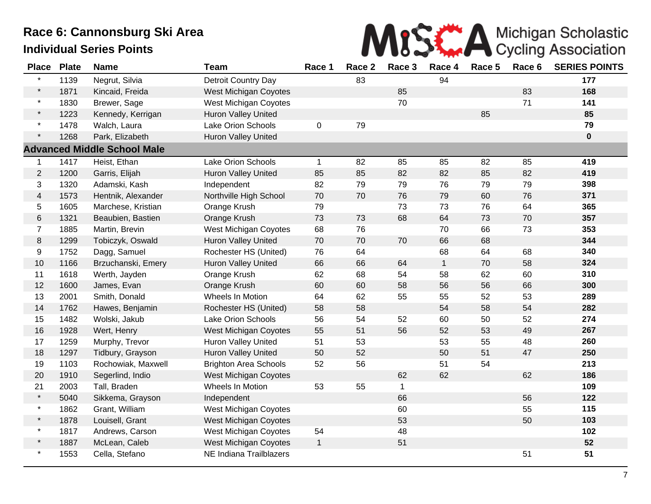

| <b>Place</b>   | <b>Plate</b> | <b>Name</b>                        | <b>Team</b>                  | Race 1       | Race 2 | Race 3       | Race 4       | Race 5 | Race 6 | <b>SERIES POINTS</b> |
|----------------|--------------|------------------------------------|------------------------------|--------------|--------|--------------|--------------|--------|--------|----------------------|
| $\star$        | 1139         | Negrut, Silvia                     | Detroit Country Day          |              | 83     |              | 94           |        |        | 177                  |
| $\star$        | 1871         | Kincaid, Freida                    | <b>West Michigan Coyotes</b> |              |        | 85           |              |        | 83     | 168                  |
| $\star$        | 1830         | Brewer, Sage                       | <b>West Michigan Coyotes</b> |              |        | 70           |              |        | 71     | 141                  |
| $\star$        | 1223         | Kennedy, Kerrigan                  | Huron Valley United          |              |        |              |              | 85     |        | 85                   |
| $\star$        | 1478         | Walch, Laura                       | Lake Orion Schools           | $\pmb{0}$    | 79     |              |              |        |        | 79                   |
| $\star$        | 1268         | Park, Elizabeth                    | Huron Valley United          |              |        |              |              |        |        | $\bf{0}$             |
|                |              | <b>Advanced Middle School Male</b> |                              |              |        |              |              |        |        |                      |
| $\mathbf 1$    | 1417         | Heist, Ethan                       | Lake Orion Schools           | $\mathbf{1}$ | 82     | 85           | 85           | 82     | 85     | 419                  |
| $\overline{c}$ | 1200         | Garris, Elijah                     | Huron Valley United          | 85           | 85     | 82           | 82           | 85     | 82     | 419                  |
| 3              | 1320         | Adamski, Kash                      | Independent                  | 82           | 79     | 79           | 76           | 79     | 79     | 398                  |
| $\overline{4}$ | 1573         | Hentnik, Alexander                 | Northville High School       | 70           | 70     | 76           | 79           | 60     | 76     | 371                  |
| 5              | 1605         | Marchese, Kristian                 | Orange Krush                 | 79           |        | 73           | 73           | 76     | 64     | 365                  |
| 6              | 1321         | Beaubien, Bastien                  | Orange Krush                 | 73           | 73     | 68           | 64           | 73     | 70     | 357                  |
| $\overline{7}$ | 1885         | Martin, Brevin                     | <b>West Michigan Coyotes</b> | 68           | 76     |              | 70           | 66     | 73     | 353                  |
| 8              | 1299         | Tobiczyk, Oswald                   | <b>Huron Valley United</b>   | 70           | 70     | 70           | 66           | 68     |        | 344                  |
| 9              | 1752         | Dagg, Samuel                       | Rochester HS (United)        | 76           | 64     |              | 68           | 64     | 68     | 340                  |
| 10             | 1166         | Brzuchanski, Emery                 | Huron Valley United          | 66           | 66     | 64           | $\mathbf{1}$ | 70     | 58     | 324                  |
| 11             | 1618         | Werth, Jayden                      | Orange Krush                 | 62           | 68     | 54           | 58           | 62     | 60     | 310                  |
| 12             | 1600         | James, Evan                        | Orange Krush                 | 60           | 60     | 58           | 56           | 56     | 66     | 300                  |
| 13             | 2001         | Smith, Donald                      | Wheels In Motion             | 64           | 62     | 55           | 55           | 52     | 53     | 289                  |
| 14             | 1762         | Hawes, Benjamin                    | Rochester HS (United)        | 58           | 58     |              | 54           | 58     | 54     | 282                  |
| 15             | 1482         | Wolski, Jakub                      | Lake Orion Schools           | 56           | 54     | 52           | 60           | 50     | 52     | 274                  |
| 16             | 1928         | Wert, Henry                        | <b>West Michigan Coyotes</b> | 55           | 51     | 56           | 52           | 53     | 49     | 267                  |
| 17             | 1259         | Murphy, Trevor                     | <b>Huron Valley United</b>   | 51           | 53     |              | 53           | 55     | 48     | 260                  |
| 18             | 1297         | Tidbury, Grayson                   | Huron Valley United          | 50           | 52     |              | 50           | 51     | 47     | 250                  |
| 19             | 1103         | Rochowiak, Maxwell                 | <b>Brighton Area Schools</b> | 52           | 56     |              | 51           | 54     |        | 213                  |
| 20             | 1910         | Segerlind, Indio                   | <b>West Michigan Coyotes</b> |              |        | 62           | 62           |        | 62     | 186                  |
| 21             | 2003         | Tall, Braden                       | Wheels In Motion             | 53           | 55     | $\mathbf{1}$ |              |        |        | 109                  |
| $\star$        | 5040         | Sikkema, Grayson                   | Independent                  |              |        | 66           |              |        | 56     | 122                  |
| $\star$        | 1862         | Grant, William                     | <b>West Michigan Coyotes</b> |              |        | 60           |              |        | 55     | 115                  |
| $\star$        | 1878         | Louisell, Grant                    | <b>West Michigan Coyotes</b> |              |        | 53           |              |        | 50     | 103                  |
| $\star$        | 1817         | Andrews, Carson                    | West Michigan Coyotes        | 54           |        | 48           |              |        |        | 102                  |
| $\star$        | 1887         | McLean, Caleb                      | <b>West Michigan Coyotes</b> | $\mathbf{1}$ |        | 51           |              |        |        | 52                   |
| $\star$        | 1553         | Cella, Stefano                     | NE Indiana Trailblazers      |              |        |              |              |        | 51     | 51                   |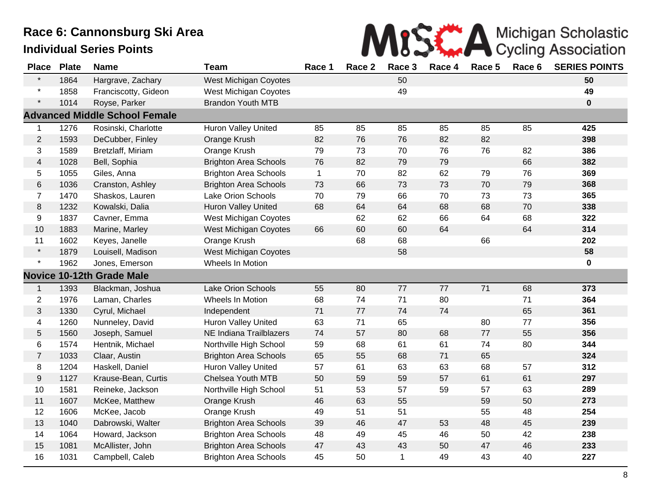

| <b>Place</b>     | <b>Plate</b> | <b>Name</b>                          | <b>Team</b>                  | Race 1       | Race 2 | Race 3      | Race 4 | Race 5 | Race 6 | <b>SERIES POINTS</b> |
|------------------|--------------|--------------------------------------|------------------------------|--------------|--------|-------------|--------|--------|--------|----------------------|
| $\star$          | 1864         | Hargrave, Zachary                    | <b>West Michigan Coyotes</b> |              |        | 50          |        |        |        | 50                   |
| $\star$          | 1858         | Franciscotty, Gideon                 | <b>West Michigan Coyotes</b> |              |        | 49          |        |        |        | 49                   |
| $\star$          | 1014         | Royse, Parker                        | <b>Brandon Youth MTB</b>     |              |        |             |        |        |        | $\mathbf 0$          |
|                  |              | <b>Advanced Middle School Female</b> |                              |              |        |             |        |        |        |                      |
| 1                | 1276         | Rosinski, Charlotte                  | Huron Valley United          | 85           | 85     | 85          | 85     | 85     | 85     | 425                  |
| $\overline{2}$   | 1593         | DeCubber, Finley                     | Orange Krush                 | 82           | 76     | 76          | 82     | 82     |        | 398                  |
| 3                | 1589         | Bretzlaff, Miriam                    | Orange Krush                 | 79           | 73     | 70          | 76     | 76     | 82     | 386                  |
| $\overline{4}$   | 1028         | Bell, Sophia                         | <b>Brighton Area Schools</b> | 76           | 82     | 79          | 79     |        | 66     | 382                  |
| 5                | 1055         | Giles, Anna                          | <b>Brighton Area Schools</b> | $\mathbf{1}$ | 70     | 82          | 62     | 79     | 76     | 369                  |
| 6                | 1036         | Cranston, Ashley                     | <b>Brighton Area Schools</b> | 73           | 66     | 73          | 73     | 70     | 79     | 368                  |
| $\overline{7}$   | 1470         | Shaskos, Lauren                      | Lake Orion Schools           | 70           | 79     | 66          | 70     | 73     | 73     | 365                  |
| 8                | 1232         | Kowalski, Dalia                      | <b>Huron Valley United</b>   | 68           | 64     | 64          | 68     | 68     | 70     | 338                  |
| 9                | 1837         | Cavner, Emma                         | <b>West Michigan Coyotes</b> |              | 62     | 62          | 66     | 64     | 68     | 322                  |
| 10               | 1883         | Marine, Marley                       | West Michigan Coyotes        | 66           | 60     | 60          | 64     |        | 64     | 314                  |
| 11               | 1602         | Keyes, Janelle                       | Orange Krush                 |              | 68     | 68          |        | 66     |        | 202                  |
| $\star$          | 1879         | Louisell, Madison                    | <b>West Michigan Coyotes</b> |              |        | 58          |        |        |        | 58                   |
| $\star$          | 1962         | Jones, Emerson                       | Wheels In Motion             |              |        |             |        |        |        | 0                    |
|                  |              | <b>Novice 10-12th Grade Male</b>     |                              |              |        |             |        |        |        |                      |
| $\mathbf{1}$     | 1393         | Blackman, Joshua                     | <b>Lake Orion Schools</b>    | 55           | 80     | 77          | 77     | 71     | 68     | 373                  |
| $\overline{c}$   | 1976         | Laman, Charles                       | Wheels In Motion             | 68           | 74     | 71          | 80     |        | 71     | 364                  |
| $\sqrt{3}$       | 1330         | Cyrul, Michael                       | Independent                  | 71           | $77$   | 74          | 74     |        | 65     | 361                  |
| 4                | 1260         | Nunneley, David                      | Huron Valley United          | 63           | 71     | 65          |        | 80     | 77     | 356                  |
| 5                | 1560         | Joseph, Samuel                       | NE Indiana Trailblazers      | 74           | 57     | 80          | 68     | 77     | 55     | 356                  |
| 6                | 1574         | Hentnik, Michael                     | Northville High School       | 59           | 68     | 61          | 61     | 74     | 80     | 344                  |
| $\overline{7}$   | 1033         | Claar, Austin                        | <b>Brighton Area Schools</b> | 65           | 55     | 68          | 71     | 65     |        | 324                  |
| 8                | 1204         | Haskell, Daniel                      | <b>Huron Valley United</b>   | 57           | 61     | 63          | 63     | 68     | 57     | 312                  |
| $\boldsymbol{9}$ | 1127         | Krause-Bean, Curtis                  | Chelsea Youth MTB            | 50           | 59     | 59          | 57     | 61     | 61     | 297                  |
| 10               | 1581         | Reineke, Jackson                     | Northville High School       | 51           | 53     | 57          | 59     | 57     | 63     | 289                  |
| 11               | 1607         | McKee, Matthew                       | Orange Krush                 | 46           | 63     | 55          |        | 59     | 50     | 273                  |
| 12               | 1606         | McKee, Jacob                         | Orange Krush                 | 49           | 51     | 51          |        | 55     | 48     | 254                  |
| 13               | 1040         | Dabrowski, Walter                    | <b>Brighton Area Schools</b> | 39           | 46     | 47          | 53     | 48     | 45     | 239                  |
| 14               | 1064         | Howard, Jackson                      | <b>Brighton Area Schools</b> | 48           | 49     | 45          | 46     | 50     | 42     | 238                  |
| 15               | 1081         | McAllister, John                     | <b>Brighton Area Schools</b> | 47           | 43     | 43          | 50     | 47     | 46     | 233                  |
| 16               | 1031         | Campbell, Caleb                      | <b>Brighton Area Schools</b> | 45           | 50     | $\mathbf 1$ | 49     | 43     | 40     | 227                  |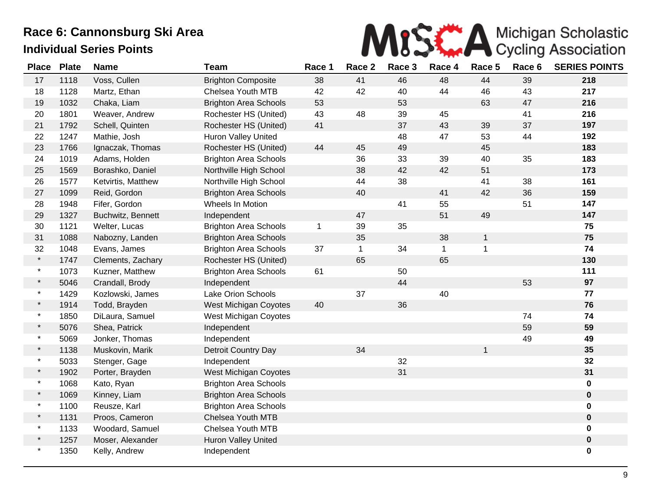

| <b>Place</b> | <b>Plate</b> | <b>Name</b>        | <b>Team</b>                  | Race 1       | Race 2      | Race 3 | Race 4 | Race 5       | Race 6 | <b>SERIES POINTS</b> |
|--------------|--------------|--------------------|------------------------------|--------------|-------------|--------|--------|--------------|--------|----------------------|
| 17           | 1118         | Voss, Cullen       | <b>Brighton Composite</b>    | 38           | 41          | 46     | 48     | 44           | 39     | 218                  |
| 18           | 1128         | Martz, Ethan       | Chelsea Youth MTB            | 42           | 42          | 40     | 44     | 46           | 43     | 217                  |
| 19           | 1032         | Chaka, Liam        | <b>Brighton Area Schools</b> | 53           |             | 53     |        | 63           | 47     | 216                  |
| 20           | 1801         | Weaver, Andrew     | Rochester HS (United)        | 43           | 48          | 39     | 45     |              | 41     | 216                  |
| 21           | 1792         | Schell, Quinten    | Rochester HS (United)        | 41           |             | 37     | 43     | 39           | 37     | 197                  |
| 22           | 1247         | Mathie, Josh       | <b>Huron Valley United</b>   |              |             | 48     | 47     | 53           | 44     | 192                  |
| 23           | 1766         | Ignaczak, Thomas   | Rochester HS (United)        | 44           | 45          | 49     |        | 45           |        | 183                  |
| 24           | 1019         | Adams, Holden      | <b>Brighton Area Schools</b> |              | 36          | 33     | 39     | 40           | 35     | 183                  |
| 25           | 1569         | Borashko, Daniel   | Northville High School       |              | 38          | 42     | 42     | 51           |        | 173                  |
| 26           | 1577         | Ketvirtis, Matthew | Northville High School       |              | 44          | 38     |        | 41           | 38     | 161                  |
| 27           | 1099         | Reid, Gordon       | <b>Brighton Area Schools</b> |              | 40          |        | 41     | 42           | 36     | 159                  |
| 28           | 1948         | Fifer, Gordon      | Wheels In Motion             |              |             | 41     | 55     |              | 51     | 147                  |
| 29           | 1327         | Buchwitz, Bennett  | Independent                  |              | 47          |        | 51     | 49           |        | 147                  |
| 30           | 1121         | Welter, Lucas      | <b>Brighton Area Schools</b> | $\mathbf{1}$ | 39          | 35     |        |              |        | 75                   |
| 31           | 1088         | Nabozny, Landen    | <b>Brighton Area Schools</b> |              | 35          |        | 38     | $\mathbf{1}$ |        | 75                   |
| 32           | 1048         | Evans, James       | <b>Brighton Area Schools</b> | 37           | $\mathbf 1$ | 34     | 1      | $\mathbf{1}$ |        | 74                   |
| $\star$      | 1747         | Clements, Zachary  | Rochester HS (United)        |              | 65          |        | 65     |              |        | 130                  |
| $\star$      | 1073         | Kuzner, Matthew    | <b>Brighton Area Schools</b> | 61           |             | 50     |        |              |        | 111                  |
| $\star$      | 5046         | Crandall, Brody    | Independent                  |              |             | 44     |        |              | 53     | 97                   |
| $\star$      | 1429         | Kozlowski, James   | <b>Lake Orion Schools</b>    |              | 37          |        | 40     |              |        | 77                   |
| $\star$      | 1914         | Todd, Brayden      | West Michigan Coyotes        | 40           |             | 36     |        |              |        | 76                   |
| $\star$      | 1850         | DiLaura, Samuel    | West Michigan Coyotes        |              |             |        |        |              | 74     | 74                   |
| $\star$      | 5076         | Shea, Patrick      | Independent                  |              |             |        |        |              | 59     | 59                   |
| $\star$      | 5069         | Jonker, Thomas     | Independent                  |              |             |        |        |              | 49     | 49                   |
| $\star$      | 1138         | Muskovin, Marik    | Detroit Country Day          |              | 34          |        |        | $\mathbf{1}$ |        | 35                   |
| $\star$      | 5033         | Stenger, Gage      | Independent                  |              |             | 32     |        |              |        | 32                   |
| $\star$      | 1902         | Porter, Brayden    | West Michigan Coyotes        |              |             | 31     |        |              |        | 31                   |
| $\star$      | 1068         | Kato, Ryan         | <b>Brighton Area Schools</b> |              |             |        |        |              |        | $\mathbf 0$          |
| $\star$      | 1069         | Kinney, Liam       | <b>Brighton Area Schools</b> |              |             |        |        |              |        | $\mathbf 0$          |
| $\star$      | 1100         | Reusze, Karl       | <b>Brighton Area Schools</b> |              |             |        |        |              |        | $\mathbf 0$          |
| $\star$      | 1131         | Proos, Cameron     | Chelsea Youth MTB            |              |             |        |        |              |        | $\mathbf 0$          |
| $\star$      | 1133         | Woodard, Samuel    | Chelsea Youth MTB            |              |             |        |        |              |        | $\mathbf 0$          |
| $\star$      | 1257         | Moser, Alexander   | Huron Valley United          |              |             |        |        |              |        | $\bf{0}$             |
| $\star$      | 1350         | Kelly, Andrew      | Independent                  |              |             |        |        |              |        | 0                    |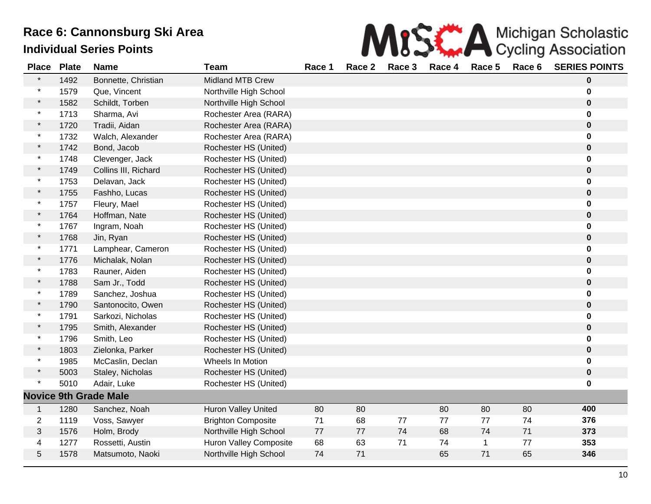|      |  |  | MISS A Michigan Scholastic                              |  |
|------|--|--|---------------------------------------------------------|--|
| no 1 |  |  | <b>Dace 2 Dace 3 Dace 4 Dace 5 Dace 6 SEDIES DOINTS</b> |  |

| <b>Place</b>   | <b>Plate</b> | <b>Name</b>                  | <b>Team</b>                | Race 1 | Race 2 | Race 3 | Race 4 | Race 5       | Race 6 | <b>SERIES POINTS</b> |
|----------------|--------------|------------------------------|----------------------------|--------|--------|--------|--------|--------------|--------|----------------------|
|                | 1492         | Bonnette, Christian          | <b>Midland MTB Crew</b>    |        |        |        |        |              |        | 0                    |
|                | 1579         | Que, Vincent                 | Northville High School     |        |        |        |        |              |        | 0                    |
| $\star$        | 1582         | Schildt, Torben              | Northville High School     |        |        |        |        |              |        | $\mathbf 0$          |
| $\star$        | 1713         | Sharma, Avi                  | Rochester Area (RARA)      |        |        |        |        |              |        | 0                    |
| $\star$        | 1720         | Tradii, Aidan                | Rochester Area (RARA)      |        |        |        |        |              |        | $\bf{0}$             |
| $\ast$         | 1732         | Walch, Alexander             | Rochester Area (RARA)      |        |        |        |        |              |        | 0                    |
| $\star$        | 1742         | Bond, Jacob                  | Rochester HS (United)      |        |        |        |        |              |        | 0                    |
| $\star$        | 1748         | Clevenger, Jack              | Rochester HS (United)      |        |        |        |        |              |        | 0                    |
| $\star$        | 1749         | Collins III, Richard         | Rochester HS (United)      |        |        |        |        |              |        | $\mathbf 0$          |
| $\star$        | 1753         | Delavan, Jack                | Rochester HS (United)      |        |        |        |        |              |        | 0                    |
| $\star$        | 1755         | Fashho, Lucas                | Rochester HS (United)      |        |        |        |        |              |        | 0                    |
| *              | 1757         | Fleury, Mael                 | Rochester HS (United)      |        |        |        |        |              |        | 0                    |
| $\ast$         | 1764         | Hoffman, Nate                | Rochester HS (United)      |        |        |        |        |              |        | $\mathbf 0$          |
| $\star$        | 1767         | Ingram, Noah                 | Rochester HS (United)      |        |        |        |        |              |        | 0                    |
| $\star$        | 1768         | Jin, Ryan                    | Rochester HS (United)      |        |        |        |        |              |        | $\bf{0}$             |
| $\star$        | 1771         | Lamphear, Cameron            | Rochester HS (United)      |        |        |        |        |              |        | 0                    |
| $\star$        | 1776         | Michalak, Nolan              | Rochester HS (United)      |        |        |        |        |              |        | 0                    |
| $\star$        | 1783         | Rauner, Aiden                | Rochester HS (United)      |        |        |        |        |              |        | 0                    |
| $\star$        | 1788         | Sam Jr., Todd                | Rochester HS (United)      |        |        |        |        |              |        | $\bf{0}$             |
| $\star$        | 1789         | Sanchez, Joshua              | Rochester HS (United)      |        |        |        |        |              |        | 0                    |
| $\star$        | 1790         | Santonocito, Owen            | Rochester HS (United)      |        |        |        |        |              |        | $\mathbf 0$          |
|                | 1791         | Sarkozi, Nicholas            | Rochester HS (United)      |        |        |        |        |              |        | 0                    |
| $\star$        | 1795         | Smith, Alexander             | Rochester HS (United)      |        |        |        |        |              |        | $\pmb{0}$            |
| $\ast$         | 1796         | Smith, Leo                   | Rochester HS (United)      |        |        |        |        |              |        | $\bf{0}$             |
| $\star$        | 1803         | Zielonka, Parker             | Rochester HS (United)      |        |        |        |        |              |        | $\mathbf 0$          |
| $\star$        | 1985         | McCaslin, Declan             | Wheels In Motion           |        |        |        |        |              |        | 0                    |
| $\star$        | 5003         | Staley, Nicholas             | Rochester HS (United)      |        |        |        |        |              |        | $\pmb{0}$            |
| $\star$        | 5010         | Adair, Luke                  | Rochester HS (United)      |        |        |        |        |              |        | 0                    |
|                |              | <b>Novice 9th Grade Male</b> |                            |        |        |        |        |              |        |                      |
| $\mathbf{1}$   | 1280         | Sanchez, Noah                | <b>Huron Valley United</b> | 80     | 80     |        | 80     | 80           | 80     | 400                  |
| $\overline{2}$ | 1119         | Voss, Sawyer                 | <b>Brighton Composite</b>  | 71     | 68     | 77     | 77     | 77           | 74     | 376                  |
| $\mathfrak{S}$ | 1576         | Holm, Brody                  | Northville High School     | 77     | $77\,$ | 74     | 68     | 74           | 71     | 373                  |
| 4              | 1277         | Rossetti, Austin             | Huron Valley Composite     | 68     | 63     | 71     | 74     | $\mathbf{1}$ | 77     | 353                  |
| 5              | 1578         | Matsumoto, Naoki             | Northville High School     | 74     | 71     |        | 65     | 71           | 65     | 346                  |
|                |              |                              |                            |        |        |        |        |              |        |                      |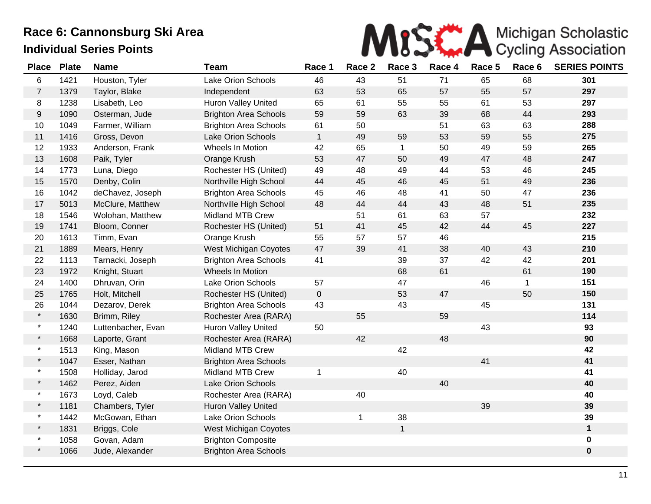

| <b>Place</b>   | <b>Plate</b> | <b>Name</b>        | <b>Team</b>                  | Race 1       | Race 2      | Race 3       | Race 4 | Race 5 | Race 6       | <b>SERIES POINTS</b> |
|----------------|--------------|--------------------|------------------------------|--------------|-------------|--------------|--------|--------|--------------|----------------------|
| 6              | 1421         | Houston, Tyler     | Lake Orion Schools           | 46           | 43          | 51           | 71     | 65     | 68           | 301                  |
| $\overline{7}$ | 1379         | Taylor, Blake      | Independent                  | 63           | 53          | 65           | 57     | 55     | 57           | 297                  |
| 8              | 1238         | Lisabeth, Leo      | Huron Valley United          | 65           | 61          | 55           | 55     | 61     | 53           | 297                  |
| $9\,$          | 1090         | Osterman, Jude     | <b>Brighton Area Schools</b> | 59           | 59          | 63           | 39     | 68     | 44           | 293                  |
| 10             | 1049         | Farmer, William    | <b>Brighton Area Schools</b> | 61           | 50          |              | 51     | 63     | 63           | 288                  |
| 11             | 1416         | Gross, Devon       | Lake Orion Schools           | $\mathbf{1}$ | 49          | 59           | 53     | 59     | 55           | 275                  |
| 12             | 1933         | Anderson, Frank    | Wheels In Motion             | 42           | 65          | $\mathbf{1}$ | 50     | 49     | 59           | 265                  |
| 13             | 1608         | Paik, Tyler        | Orange Krush                 | 53           | 47          | 50           | 49     | 47     | 48           | 247                  |
| 14             | 1773         | Luna, Diego        | Rochester HS (United)        | 49           | 48          | 49           | 44     | 53     | 46           | 245                  |
| 15             | 1570         | Denby, Colin       | Northville High School       | 44           | 45          | 46           | 45     | 51     | 49           | 236                  |
| 16             | 1042         | deChavez, Joseph   | <b>Brighton Area Schools</b> | 45           | 46          | 48           | 41     | 50     | 47           | 236                  |
| 17             | 5013         | McClure, Matthew   | Northville High School       | 48           | 44          | 44           | 43     | 48     | 51           | 235                  |
| 18             | 1546         | Wolohan, Matthew   | Midland MTB Crew             |              | 51          | 61           | 63     | 57     |              | 232                  |
| 19             | 1741         | Bloom, Conner      | Rochester HS (United)        | 51           | 41          | 45           | 42     | 44     | 45           | 227                  |
| 20             | 1613         | Timm, Evan         | Orange Krush                 | 55           | 57          | 57           | 46     |        |              | 215                  |
| 21             | 1889         | Mears, Henry       | <b>West Michigan Coyotes</b> | 47           | 39          | 41           | 38     | 40     | 43           | 210                  |
| 22             | 1113         | Tarnacki, Joseph   | <b>Brighton Area Schools</b> | 41           |             | 39           | 37     | 42     | 42           | 201                  |
| 23             | 1972         | Knight, Stuart     | Wheels In Motion             |              |             | 68           | 61     |        | 61           | 190                  |
| 24             | 1400         | Dhruvan, Orin      | Lake Orion Schools           | 57           |             | 47           |        | 46     | $\mathbf{1}$ | 151                  |
| 25             | 1765         | Holt, Mitchell     | Rochester HS (United)        | $\pmb{0}$    |             | 53           | 47     |        | 50           | 150                  |
| 26             | 1044         | Dezarov, Derek     | <b>Brighton Area Schools</b> | 43           |             | 43           |        | 45     |              | 131                  |
| $\star$        | 1630         | Brimm, Riley       | Rochester Area (RARA)        |              | 55          |              | 59     |        |              | 114                  |
| $\star$        | 1240         | Luttenbacher, Evan | <b>Huron Valley United</b>   | 50           |             |              |        | 43     |              | 93                   |
| $\star$        | 1668         | Laporte, Grant     | Rochester Area (RARA)        |              | 42          |              | 48     |        |              | 90                   |
| $\star$        | 1513         | King, Mason        | <b>Midland MTB Crew</b>      |              |             | 42           |        |        |              | 42                   |
| $\star$        | 1047         | Esser, Nathan      | <b>Brighton Area Schools</b> |              |             |              |        | 41     |              | 41                   |
| $\star$        | 1508         | Holliday, Jarod    | Midland MTB Crew             | $\mathbf 1$  |             | 40           |        |        |              | 41                   |
| $\star$        | 1462         | Perez, Aiden       | <b>Lake Orion Schools</b>    |              |             |              | 40     |        |              | 40                   |
| $\star$        | 1673         | Loyd, Caleb        | Rochester Area (RARA)        |              | 40          |              |        |        |              | 40                   |
| $\star$        | 1181         | Chambers, Tyler    | Huron Valley United          |              |             |              |        | 39     |              | 39                   |
| $\star$        | 1442         | McGowan, Ethan     | Lake Orion Schools           |              | $\mathbf 1$ | 38           |        |        |              | 39                   |
| $\star$        | 1831         | Briggs, Cole       | West Michigan Coyotes        |              |             | $\mathbf{1}$ |        |        |              | $\mathbf{1}$         |
| $\star$        | 1058         | Govan, Adam        | <b>Brighton Composite</b>    |              |             |              |        |        |              | $\mathbf 0$          |
| $\star$        | 1066         | Jude, Alexander    | <b>Brighton Area Schools</b> |              |             |              |        |        |              | $\pmb{0}$            |
|                |              |                    |                              |              |             |              |        |        |              |                      |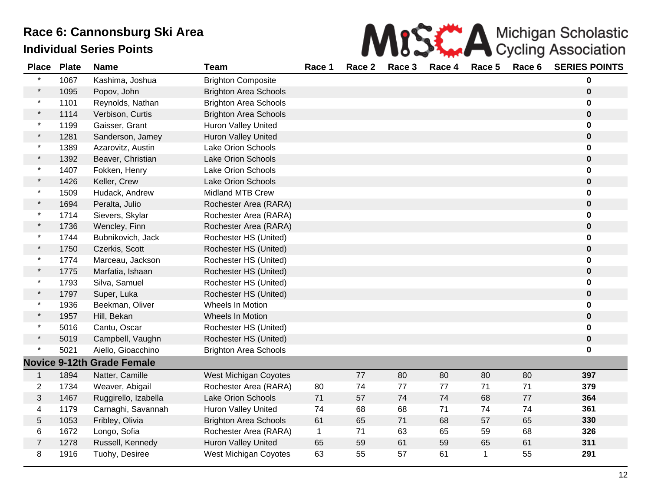| Race 6: Cannonsburg Ski Area<br>ndividual Series Points |  |  |  |        |  | MISK A Michigan Scholastic |                                                  |  |
|---------------------------------------------------------|--|--|--|--------|--|----------------------------|--------------------------------------------------|--|
| Place Plate Name<br>Team                                |  |  |  | Race 1 |  |                            | Race 2 Race 3 Race 4 Race 5 Race 6 SERIES POINTS |  |
|                                                         |  |  |  |        |  |                            |                                                  |  |

| טשו            | י וטנע |                                   |                              |              |    |    |    |              |    |             |
|----------------|--------|-----------------------------------|------------------------------|--------------|----|----|----|--------------|----|-------------|
| $\star$        | 1067   | Kashima, Joshua                   | <b>Brighton Composite</b>    |              |    |    |    |              |    | 0           |
| $\star$        | 1095   | Popov, John                       | <b>Brighton Area Schools</b> |              |    |    |    |              |    | $\pmb{0}$   |
| $\ast$         | 1101   | Reynolds, Nathan                  | <b>Brighton Area Schools</b> |              |    |    |    |              |    | 0           |
| $\star$        | 1114   | Verbison, Curtis                  | <b>Brighton Area Schools</b> |              |    |    |    |              |    | $\pmb{0}$   |
| $\star$        | 1199   | Gaisser, Grant                    | <b>Huron Valley United</b>   |              |    |    |    |              |    | 0           |
| $\star$        | 1281   | Sanderson, Jamey                  | Huron Valley United          |              |    |    |    |              |    | 0           |
| $\star$        | 1389   | Azarovitz, Austin                 | <b>Lake Orion Schools</b>    |              |    |    |    |              |    | 0           |
|                | 1392   | Beaver, Christian                 | <b>Lake Orion Schools</b>    |              |    |    |    |              |    | $\bf{0}$    |
|                | 1407   | Fokken, Henry                     | <b>Lake Orion Schools</b>    |              |    |    |    |              |    | 0           |
|                | 1426   | Keller, Crew                      | <b>Lake Orion Schools</b>    |              |    |    |    |              |    | $\pmb{0}$   |
| $\star$        | 1509   | Hudack, Andrew                    | <b>Midland MTB Crew</b>      |              |    |    |    |              |    | $\bf{0}$    |
|                | 1694   | Peralta, Julio                    | Rochester Area (RARA)        |              |    |    |    |              |    | $\pmb{0}$   |
|                | 1714   | Sievers, Skylar                   | Rochester Area (RARA)        |              |    |    |    |              |    | 0           |
| $\star$        | 1736   | Wencley, Finn                     | Rochester Area (RARA)        |              |    |    |    |              |    | $\pmb{0}$   |
| $\star$        | 1744   | Bubnikovich, Jack                 | Rochester HS (United)        |              |    |    |    |              |    | 0           |
| $\star$        | 1750   | Czerkis, Scott                    | Rochester HS (United)        |              |    |    |    |              |    | $\mathbf 0$ |
|                | 1774   | Marceau, Jackson                  | Rochester HS (United)        |              |    |    |    |              |    | 0           |
|                | 1775   | Marfatia, Ishaan                  | Rochester HS (United)        |              |    |    |    |              |    | $\pmb{0}$   |
| $\star$        | 1793   | Silva, Samuel                     | Rochester HS (United)        |              |    |    |    |              |    | 0           |
| $\star$        | 1797   | Super, Luka                       | Rochester HS (United)        |              |    |    |    |              |    | $\mathbf 0$ |
| $\star$        | 1936   | Beekman, Oliver                   | Wheels In Motion             |              |    |    |    |              |    | 0           |
| $\star$        | 1957   | Hill, Bekan                       | Wheels In Motion             |              |    |    |    |              |    | $\pmb{0}$   |
|                | 5016   | Cantu, Oscar                      | Rochester HS (United)        |              |    |    |    |              |    | 0           |
|                | 5019   | Campbell, Vaughn                  | Rochester HS (United)        |              |    |    |    |              |    | $\bf{0}$    |
|                | 5021   | Aiello, Gioacchino                | <b>Brighton Area Schools</b> |              |    |    |    |              |    | 0           |
|                |        | <b>Novice 9-12th Grade Female</b> |                              |              |    |    |    |              |    |             |
| $\mathbf{1}$   | 1894   | Natter, Camille                   | West Michigan Coyotes        |              | 77 | 80 | 80 | 80           | 80 | 397         |
| $\overline{2}$ | 1734   | Weaver, Abigail                   | Rochester Area (RARA)        | 80           | 74 | 77 | 77 | 71           | 71 | 379         |
| 3              | 1467   | Ruggirello, Izabella              | <b>Lake Orion Schools</b>    | 71           | 57 | 74 | 74 | 68           | 77 | 364         |
| 4              | 1179   | Carnaghi, Savannah                | Huron Valley United          | 74           | 68 | 68 | 71 | 74           | 74 | 361         |
| 5              | 1053   | Fribley, Olivia                   | <b>Brighton Area Schools</b> | 61           | 65 | 71 | 68 | 57           | 65 | 330         |
| 6              | 1672   | Longo, Sofia                      | Rochester Area (RARA)        | $\mathbf{1}$ | 71 | 63 | 65 | 59           | 68 | 326         |
| 7              | 1278   | Russell, Kennedy                  | Huron Valley United          | 65           | 59 | 61 | 59 | 65           | 61 | 311         |
| 8              | 1916   | Tuohy, Desiree                    | West Michigan Coyotes        | 63           | 55 | 57 | 61 | $\mathbf{1}$ | 55 | 291         |
|                |        |                                   |                              |              |    |    |    |              |    |             |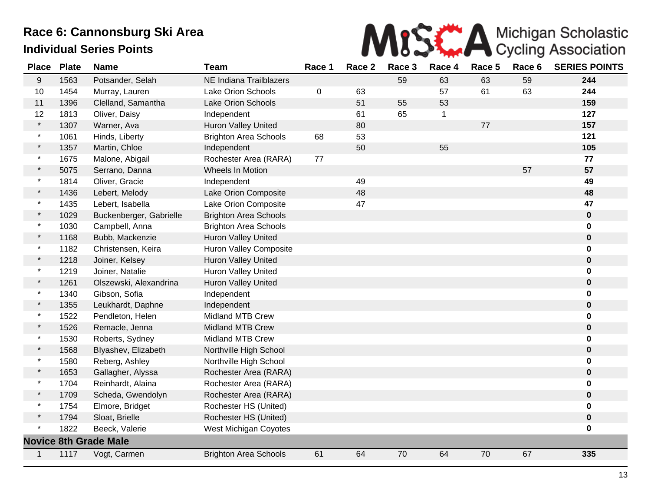

| <b>Place</b> | <b>Plate</b> | <b>Name</b>                  | <b>Team</b>                   | Race 1  | Race 2 | Race 3 | Race 4       | Race 5 | Race 6 | <b>SERIES POINTS</b> |
|--------------|--------------|------------------------------|-------------------------------|---------|--------|--------|--------------|--------|--------|----------------------|
| 9            | 1563         | Potsander, Selah             | NE Indiana Trailblazers       |         |        | 59     | 63           | 63     | 59     | 244                  |
| 10           | 1454         | Murray, Lauren               | <b>Lake Orion Schools</b>     | $\,0\,$ | 63     |        | 57           | 61     | 63     | 244                  |
| 11           | 1396         | Clelland, Samantha           | <b>Lake Orion Schools</b>     |         | 51     | 55     | 53           |        |        | 159                  |
| 12           | 1813         | Oliver, Daisy                | Independent                   |         | 61     | 65     | $\mathbf{1}$ |        |        | 127                  |
| $\star$      | 1307         | Warner, Ava                  | Huron Valley United           |         | 80     |        |              | 77     |        | 157                  |
| $\star$      | 1061         | Hinds, Liberty               | <b>Brighton Area Schools</b>  | 68      | 53     |        |              |        |        | 121                  |
| $\star$      | 1357         | Martin, Chloe                | Independent                   |         | 50     |        | 55           |        |        | 105                  |
| $\ast$       | 1675         | Malone, Abigail              | Rochester Area (RARA)         | 77      |        |        |              |        |        | 77                   |
| $\star$      | 5075         | Serrano, Danna               | Wheels In Motion              |         |        |        |              |        | 57     | 57                   |
| $\star$      | 1814         | Oliver, Gracie               | Independent                   |         | 49     |        |              |        |        | 49                   |
| $\star$      | 1436         | Lebert, Melody               | Lake Orion Composite          |         | 48     |        |              |        |        | 48                   |
| $\star$      | 1435         | Lebert, Isabella             | Lake Orion Composite          |         | 47     |        |              |        |        | 47                   |
| $\star$      | 1029         | Buckenberger, Gabrielle      | <b>Brighton Area Schools</b>  |         |        |        |              |        |        | $\bf{0}$             |
| $\star$      | 1030         | Campbell, Anna               | <b>Brighton Area Schools</b>  |         |        |        |              |        |        | 0                    |
| $\star$      | 1168         | Bubb, Mackenzie              | Huron Valley United           |         |        |        |              |        |        | $\mathbf 0$          |
| $\star$      | 1182         | Christensen, Keira           | <b>Huron Valley Composite</b> |         |        |        |              |        |        | 0                    |
| $\star$      | 1218         | Joiner, Kelsey               | Huron Valley United           |         |        |        |              |        |        | $\mathbf 0$          |
| $\ast$       | 1219         | Joiner, Natalie              | Huron Valley United           |         |        |        |              |        |        | 0                    |
| $\star$      | 1261         | Olszewski, Alexandrina       | <b>Huron Valley United</b>    |         |        |        |              |        |        | $\bf{0}$             |
| $\star$      | 1340         | Gibson, Sofia                | Independent                   |         |        |        |              |        |        | 0                    |
| $\star$      | 1355         | Leukhardt, Daphne            | Independent                   |         |        |        |              |        |        | $\bf{0}$             |
|              | 1522         | Pendleton, Helen             | <b>Midland MTB Crew</b>       |         |        |        |              |        |        | 0                    |
| $\star$      | 1526         | Remacle, Jenna               | <b>Midland MTB Crew</b>       |         |        |        |              |        |        | $\bf{0}$             |
|              | 1530         | Roberts, Sydney              | <b>Midland MTB Crew</b>       |         |        |        |              |        |        | 0                    |
|              | 1568         | Blyashev, Elizabeth          | Northville High School        |         |        |        |              |        |        | $\mathbf 0$          |
| $\star$      | 1580         | Reberg, Ashley               | Northville High School        |         |        |        |              |        |        | 0                    |
|              | 1653         | Gallagher, Alyssa            | Rochester Area (RARA)         |         |        |        |              |        |        | $\pmb{0}$            |
| $\star$      | 1704         | Reinhardt, Alaina            | Rochester Area (RARA)         |         |        |        |              |        |        | 0                    |
| $\star$      | 1709         | Scheda, Gwendolyn            | Rochester Area (RARA)         |         |        |        |              |        |        | $\bf{0}$             |
| $\star$      | 1754         | Elmore, Bridget              | Rochester HS (United)         |         |        |        |              |        |        | 0                    |
| $\star$      | 1794         | Sloat, Brielle               | Rochester HS (United)         |         |        |        |              |        |        | $\bf{0}$             |
|              | 1822         | Beeck, Valerie               | West Michigan Coyotes         |         |        |        |              |        |        | 0                    |
|              |              | <b>Novice 8th Grade Male</b> |                               |         |        |        |              |        |        |                      |
| $\mathbf{1}$ | 1117         | Vogt, Carmen                 | <b>Brighton Area Schools</b>  | 61      | 64     | 70     | 64           | 70     | 67     | 335                  |
|              |              |                              |                               |         |        |        |              |        |        |                      |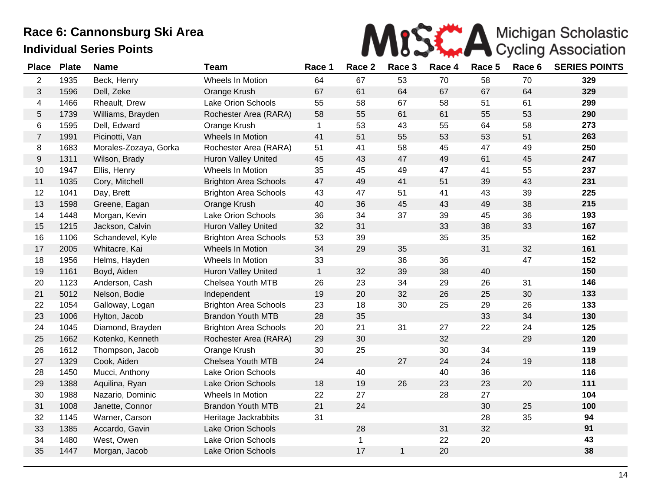

| <b>Place</b>   | <b>Plate</b> | <b>Name</b>           | <b>Team</b>                  | Race 1       | Race 2 | Race 3       | Race 4 | Race 5 | Race 6 | <b>SERIES POINTS</b> |
|----------------|--------------|-----------------------|------------------------------|--------------|--------|--------------|--------|--------|--------|----------------------|
| $\overline{2}$ | 1935         | Beck, Henry           | Wheels In Motion             | 64           | 67     | 53           | 70     | 58     | 70     | 329                  |
| 3              | 1596         | Dell, Zeke            | Orange Krush                 | 67           | 61     | 64           | 67     | 67     | 64     | 329                  |
| 4              | 1466         | Rheault, Drew         | Lake Orion Schools           | 55           | 58     | 67           | 58     | 51     | 61     | 299                  |
| 5              | 1739         | Williams, Brayden     | Rochester Area (RARA)        | 58           | 55     | 61           | 61     | 55     | 53     | 290                  |
| 6              | 1595         | Dell, Edward          | Orange Krush                 | $\mathbf{1}$ | 53     | 43           | 55     | 64     | 58     | 273                  |
| $\overline{7}$ | 1991         | Picinotti, Van        | Wheels In Motion             | 41           | 51     | 55           | 53     | 53     | 51     | 263                  |
| 8              | 1683         | Morales-Zozaya, Gorka | Rochester Area (RARA)        | 51           | 41     | 58           | 45     | 47     | 49     | 250                  |
| 9              | 1311         | Wilson, Brady         | Huron Valley United          | 45           | 43     | 47           | 49     | 61     | 45     | 247                  |
| 10             | 1947         | Ellis, Henry          | Wheels In Motion             | 35           | 45     | 49           | 47     | 41     | 55     | 237                  |
| 11             | 1035         | Cory, Mitchell        | <b>Brighton Area Schools</b> | 47           | 49     | 41           | 51     | 39     | 43     | 231                  |
| 12             | 1041         | Day, Brett            | <b>Brighton Area Schools</b> | 43           | 47     | 51           | 41     | 43     | 39     | 225                  |
| 13             | 1598         | Greene, Eagan         | Orange Krush                 | 40           | 36     | 45           | 43     | 49     | 38     | 215                  |
| 14             | 1448         | Morgan, Kevin         | Lake Orion Schools           | 36           | 34     | 37           | 39     | 45     | 36     | 193                  |
| 15             | 1215         | Jackson, Calvin       | Huron Valley United          | 32           | 31     |              | 33     | 38     | 33     | 167                  |
| 16             | 1106         | Schandevel, Kyle      | <b>Brighton Area Schools</b> | 53           | 39     |              | 35     | 35     |        | 162                  |
| 17             | 2005         | Whitacre, Kai         | Wheels In Motion             | 34           | 29     | 35           |        | 31     | 32     | 161                  |
| 18             | 1956         | Helms, Hayden         | Wheels In Motion             | 33           |        | 36           | 36     |        | 47     | 152                  |
| 19             | 1161         | Boyd, Aiden           | Huron Valley United          | $\mathbf{1}$ | 32     | 39           | 38     | 40     |        | 150                  |
| 20             | 1123         | Anderson, Cash        | Chelsea Youth MTB            | 26           | 23     | 34           | 29     | 26     | 31     | 146                  |
| 21             | 5012         | Nelson, Bodie         | Independent                  | 19           | 20     | 32           | 26     | 25     | 30     | 133                  |
| 22             | 1054         | Galloway, Logan       | <b>Brighton Area Schools</b> | 23           | 18     | 30           | 25     | 29     | 26     | 133                  |
| 23             | 1006         | Hylton, Jacob         | <b>Brandon Youth MTB</b>     | 28           | 35     |              |        | 33     | 34     | 130                  |
| 24             | 1045         | Diamond, Brayden      | <b>Brighton Area Schools</b> | 20           | 21     | 31           | 27     | 22     | 24     | 125                  |
| 25             | 1662         | Kotenko, Kenneth      | Rochester Area (RARA)        | 29           | 30     |              | 32     |        | 29     | 120                  |
| 26             | 1612         | Thompson, Jacob       | Orange Krush                 | 30           | 25     |              | 30     | 34     |        | 119                  |
| 27             | 1329         | Cook, Aiden           | Chelsea Youth MTB            | 24           |        | 27           | 24     | 24     | 19     | 118                  |
| 28             | 1450         | Mucci, Anthony        | Lake Orion Schools           |              | 40     |              | 40     | 36     |        | 116                  |
| 29             | 1388         | Aquilina, Ryan        | <b>Lake Orion Schools</b>    | 18           | 19     | 26           | 23     | 23     | 20     | 111                  |
| 30             | 1988         | Nazario, Dominic      | Wheels In Motion             | 22           | 27     |              | 28     | 27     |        | 104                  |
| 31             | 1008         | Janette, Connor       | <b>Brandon Youth MTB</b>     | 21           | 24     |              |        | 30     | 25     | 100                  |
| 32             | 1145         | Warner, Carson        | Heritage Jackrabbits         | 31           |        |              |        | 28     | 35     | 94                   |
| 33             | 1385         | Accardo, Gavin        | <b>Lake Orion Schools</b>    |              | 28     |              | 31     | 32     |        | 91                   |
| 34             | 1480         | West, Owen            | Lake Orion Schools           |              | 1      |              | 22     | 20     |        | 43                   |
| 35             | 1447         | Morgan, Jacob         | <b>Lake Orion Schools</b>    |              | 17     | $\mathbf{1}$ | 20     |        |        | 38                   |
|                |              |                       |                              |              |        |              |        |        |        |                      |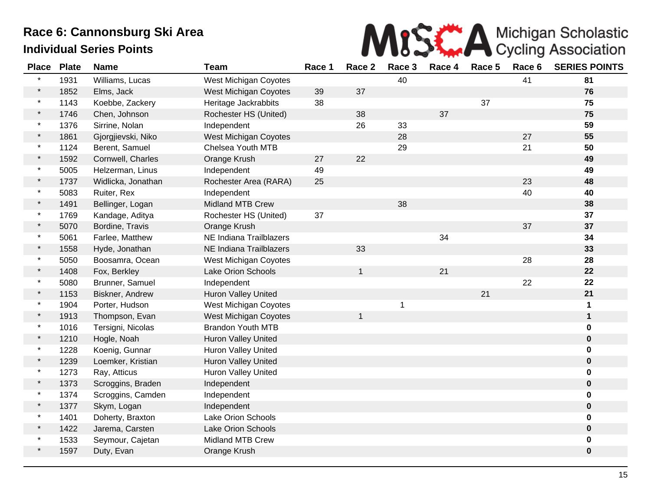

| <b>Place</b> | <b>Plate</b> | <b>Name</b>        | <b>Team</b>                | Race 1 | Race 2       | Race 3 | Race 4 | Race 5 | Race 6 | <b>SERIES POINTS</b> |
|--------------|--------------|--------------------|----------------------------|--------|--------------|--------|--------|--------|--------|----------------------|
|              | 1931         | Williams, Lucas    | West Michigan Coyotes      |        |              | 40     |        |        | 41     | 81                   |
| $\star$      | 1852         | Elms, Jack         | West Michigan Coyotes      | 39     | 37           |        |        |        |        | 76                   |
| $\star$      | 1143         | Koebbe, Zackery    | Heritage Jackrabbits       | 38     |              |        |        | 37     |        | 75                   |
| $\star$      | 1746         | Chen, Johnson      | Rochester HS (United)      |        | 38           |        | 37     |        |        | 75                   |
| $\star$      | 1376         | Sirrine, Nolan     | Independent                |        | 26           | 33     |        |        |        | 59                   |
| $\star$      | 1861         | Gjorgjievski, Niko | West Michigan Coyotes      |        |              | 28     |        |        | 27     | 55                   |
| $\star$      | 1124         | Berent, Samuel     | Chelsea Youth MTB          |        |              | 29     |        |        | 21     | 50                   |
| $\star$      | 1592         | Cornwell, Charles  | Orange Krush               | 27     | 22           |        |        |        |        | 49                   |
| $\star$      | 5005         | Helzerman, Linus   | Independent                | 49     |              |        |        |        |        | 49                   |
| $\star$      | 1737         | Widlicka, Jonathan | Rochester Area (RARA)      | 25     |              |        |        |        | 23     | 48                   |
| $\star$      | 5083         | Ruiter, Rex        | Independent                |        |              |        |        |        | 40     | 40                   |
| $\star$      | 1491         | Bellinger, Logan   | <b>Midland MTB Crew</b>    |        |              | 38     |        |        |        | 38                   |
| $\star$      | 1769         | Kandage, Aditya    | Rochester HS (United)      | 37     |              |        |        |        |        | 37                   |
| $\star$      | 5070         | Bordine, Travis    | Orange Krush               |        |              |        |        |        | 37     | 37                   |
| $\star$      | 5061         | Farlee, Matthew    | NE Indiana Trailblazers    |        |              |        | 34     |        |        | 34                   |
| $\star$      | 1558         | Hyde, Jonathan     | NE Indiana Trailblazers    |        | 33           |        |        |        |        | 33                   |
| $\star$      | 5050         | Boosamra, Ocean    | West Michigan Coyotes      |        |              |        |        |        | 28     | 28                   |
| $\star$      | 1408         | Fox, Berkley       | <b>Lake Orion Schools</b>  |        | $\mathbf{1}$ |        | 21     |        |        | 22                   |
|              | 5080         | Brunner, Samuel    | Independent                |        |              |        |        |        | 22     | 22                   |
| $\star$      | 1153         | Biskner, Andrew    | Huron Valley United        |        |              |        |        | 21     |        | 21                   |
| $\star$      | 1904         | Porter, Hudson     | West Michigan Coyotes      |        |              | 1      |        |        |        | 1                    |
| $\star$      | 1913         | Thompson, Evan     | West Michigan Coyotes      |        | $\mathbf{1}$ |        |        |        |        | $\mathbf 1$          |
| $\star$      | 1016         | Tersigni, Nicolas  | <b>Brandon Youth MTB</b>   |        |              |        |        |        |        | $\mathbf 0$          |
| $\star$      | 1210         | Hogle, Noah        | Huron Valley United        |        |              |        |        |        |        | $\pmb{0}$            |
| $\star$      | 1228         | Koenig, Gunnar     | Huron Valley United        |        |              |        |        |        |        | $\mathbf 0$          |
| $\star$      | 1239         | Loemker, Kristian  | Huron Valley United        |        |              |        |        |        |        | $\bf{0}$             |
| $\star$      | 1273         | Ray, Atticus       | <b>Huron Valley United</b> |        |              |        |        |        |        | 0                    |
| $\star$      | 1373         | Scroggins, Braden  | Independent                |        |              |        |        |        |        | $\bf{0}$             |
| $\star$      | 1374         | Scroggins, Camden  | Independent                |        |              |        |        |        |        | $\mathbf 0$          |
| $\star$      | 1377         | Skym, Logan        | Independent                |        |              |        |        |        |        | $\boldsymbol{0}$     |
| $\star$      | 1401         | Doherty, Braxton   | Lake Orion Schools         |        |              |        |        |        |        | 0                    |
| $\star$      | 1422         | Jarema, Carsten    | <b>Lake Orion Schools</b>  |        |              |        |        |        |        | $\bf{0}$             |
|              | 1533         | Seymour, Cajetan   | <b>Midland MTB Crew</b>    |        |              |        |        |        |        | 0                    |
|              | 1597         | Duty, Evan         | Orange Krush               |        |              |        |        |        |        | $\mathbf 0$          |
|              |              |                    |                            |        |              |        |        |        |        |                      |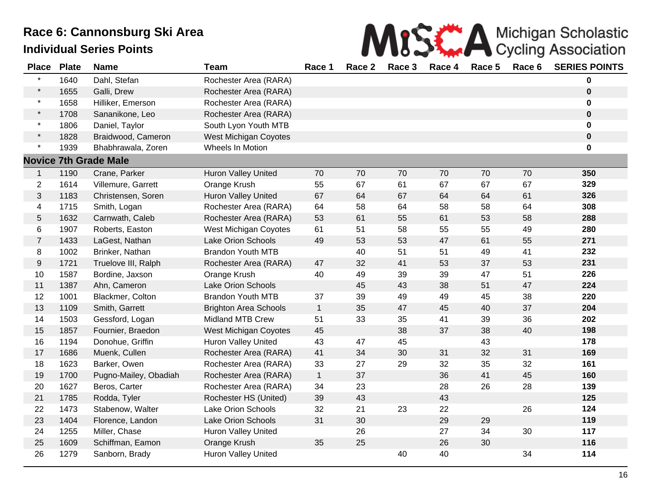

| <b>Place</b>   | <b>Plate</b> | <b>Name</b>                  | <b>Team</b>                  | Race 1       | Race 2 | Race 3 | Race 4 | Race 5 | Race 6 | <b>SERIES POINTS</b> |
|----------------|--------------|------------------------------|------------------------------|--------------|--------|--------|--------|--------|--------|----------------------|
| $\star$        | 1640         | Dahl, Stefan                 | Rochester Area (RARA)        |              |        |        |        |        |        | 0                    |
| $\star$        | 1655         | Galli, Drew                  | Rochester Area (RARA)        |              |        |        |        |        |        | 0                    |
| $\star$        | 1658         | Hilliker, Emerson            | Rochester Area (RARA)        |              |        |        |        |        |        | 0                    |
| $\star$        | 1708         | Sananikone, Leo              | Rochester Area (RARA)        |              |        |        |        |        |        | $\pmb{0}$            |
| $\star$        | 1806         | Daniel, Taylor               | South Lyon Youth MTB         |              |        |        |        |        |        | 0                    |
| $\star$        | 1828         | Braidwood, Cameron           | <b>West Michigan Coyotes</b> |              |        |        |        |        |        | $\mathbf 0$          |
| $\star$        | 1939         | Bhabhrawala, Zoren           | Wheels In Motion             |              |        |        |        |        |        | 0                    |
|                |              | <b>Novice 7th Grade Male</b> |                              |              |        |        |        |        |        |                      |
| $\mathbf{1}$   | 1190         | Crane, Parker                | <b>Huron Valley United</b>   | 70           | 70     | 70     | 70     | 70     | 70     | 350                  |
| $\overline{c}$ | 1614         | Villemure, Garrett           | Orange Krush                 | 55           | 67     | 61     | 67     | 67     | 67     | 329                  |
| 3              | 1183         | Christensen, Soren           | <b>Huron Valley United</b>   | 67           | 64     | 67     | 64     | 64     | 61     | 326                  |
| 4              | 1715         | Smith, Logan                 | Rochester Area (RARA)        | 64           | 58     | 64     | 58     | 58     | 64     | 308                  |
| 5              | 1632         | Carnwath, Caleb              | Rochester Area (RARA)        | 53           | 61     | 55     | 61     | 53     | 58     | 288                  |
| 6              | 1907         | Roberts, Easton              | West Michigan Coyotes        | 61           | 51     | 58     | 55     | 55     | 49     | 280                  |
| $\overline{7}$ | 1433         | LaGest, Nathan               | Lake Orion Schools           | 49           | 53     | 53     | 47     | 61     | 55     | 271                  |
| 8              | 1002         | Brinker, Nathan              | <b>Brandon Youth MTB</b>     |              | 40     | 51     | 51     | 49     | 41     | 232                  |
| 9              | 1721         | Truelove III, Ralph          | Rochester Area (RARA)        | 47           | 32     | 41     | 53     | 37     | 53     | 231                  |
| 10             | 1587         | Bordine, Jaxson              | Orange Krush                 | 40           | 49     | 39     | 39     | 47     | 51     | 226                  |
| 11             | 1387         | Ahn, Cameron                 | Lake Orion Schools           |              | 45     | 43     | 38     | 51     | 47     | 224                  |
| 12             | 1001         | Blackmer, Colton             | <b>Brandon Youth MTB</b>     | 37           | 39     | 49     | 49     | 45     | 38     | 220                  |
| 13             | 1109         | Smith, Garrett               | <b>Brighton Area Schools</b> | $\mathbf{1}$ | 35     | 47     | 45     | 40     | 37     | 204                  |
| 14             | 1503         | Gessford, Logan              | <b>Midland MTB Crew</b>      | 51           | 33     | 35     | 41     | 39     | 36     | 202                  |
| 15             | 1857         | Fournier, Braedon            | <b>West Michigan Coyotes</b> | 45           |        | 38     | 37     | 38     | 40     | 198                  |
| 16             | 1194         | Donohue, Griffin             | <b>Huron Valley United</b>   | 43           | 47     | 45     |        | 43     |        | 178                  |
| 17             | 1686         | Muenk, Cullen                | Rochester Area (RARA)        | 41           | 34     | 30     | 31     | 32     | 31     | 169                  |
| 18             | 1623         | Barker, Owen                 | Rochester Area (RARA)        | 33           | 27     | 29     | 32     | 35     | 32     | 161                  |
| 19             | 1700         | Pugno-Mailey, Obadiah        | Rochester Area (RARA)        | $\mathbf{1}$ | 37     |        | 36     | 41     | 45     | 160                  |
| 20             | 1627         | Beros, Carter                | Rochester Area (RARA)        | 34           | 23     |        | 28     | 26     | 28     | 139                  |
| 21             | 1785         | Rodda, Tyler                 | Rochester HS (United)        | 39           | 43     |        | 43     |        |        | 125                  |
| 22             | 1473         | Stabenow, Walter             | Lake Orion Schools           | 32           | 21     | 23     | 22     |        | 26     | 124                  |
| 23             | 1404         | Florence, Landon             | Lake Orion Schools           | 31           | 30     |        | 29     | 29     |        | 119                  |
| 24             | 1255         | Miller, Chase                | Huron Valley United          |              | 26     |        | 27     | 34     | 30     | 117                  |
| 25             | 1609         | Schiffman, Eamon             | Orange Krush                 | 35           | 25     |        | 26     | 30     |        | 116                  |
| 26             | 1279         | Sanborn, Brady               | <b>Huron Valley United</b>   |              |        | 40     | 40     |        | 34     | 114                  |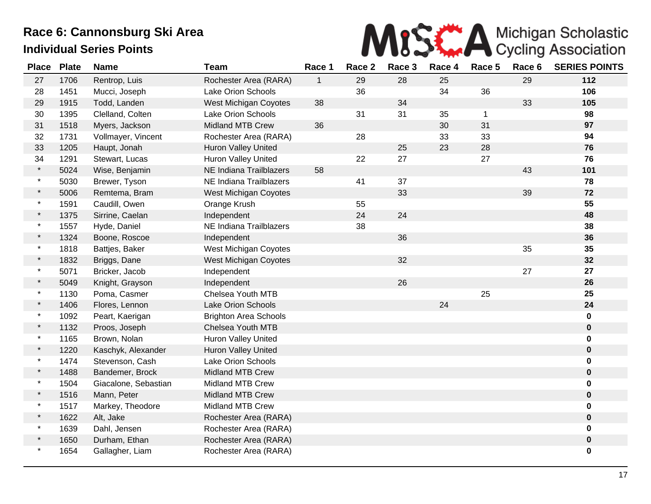

| <b>Place</b> | <b>Plate</b> | <b>Name</b>          | <b>Team</b>                  | Race 1       | Race 2 | Race 3 | Race 4 | Race 5       | Race 6 | <b>SERIES POINTS</b> |
|--------------|--------------|----------------------|------------------------------|--------------|--------|--------|--------|--------------|--------|----------------------|
| 27           | 1706         | Rentrop, Luis        | Rochester Area (RARA)        | $\mathbf{1}$ | 29     | 28     | 25     |              | 29     | 112                  |
| 28           | 1451         | Mucci, Joseph        | <b>Lake Orion Schools</b>    |              | 36     |        | 34     | 36           |        | 106                  |
| 29           | 1915         | Todd, Landen         | West Michigan Coyotes        | 38           |        | 34     |        |              | 33     | 105                  |
| 30           | 1395         | Clelland, Colten     | <b>Lake Orion Schools</b>    |              | 31     | 31     | 35     | $\mathbf{1}$ |        | 98                   |
| 31           | 1518         | Myers, Jackson       | <b>Midland MTB Crew</b>      | 36           |        |        | 30     | 31           |        | 97                   |
| 32           | 1731         | Vollmayer, Vincent   | Rochester Area (RARA)        |              | 28     |        | 33     | 33           |        | 94                   |
| 33           | 1205         | Haupt, Jonah         | Huron Valley United          |              |        | 25     | 23     | 28           |        | 76                   |
| 34           | 1291         | Stewart, Lucas       | Huron Valley United          |              | 22     | 27     |        | 27           |        | 76                   |
| $\star$      | 5024         | Wise, Benjamin       | NE Indiana Trailblazers      | 58           |        |        |        |              | 43     | 101                  |
| $\star$      | 5030         | Brewer, Tyson        | NE Indiana Trailblazers      |              | 41     | 37     |        |              |        | 78                   |
| $\star$      | 5006         | Remtema, Bram        | West Michigan Coyotes        |              |        | 33     |        |              | 39     | 72                   |
| $\star$      | 1591         | Caudill, Owen        | Orange Krush                 |              | 55     |        |        |              |        | 55                   |
| $\star$      | 1375         | Sirrine, Caelan      | Independent                  |              | 24     | 24     |        |              |        | 48                   |
| $\star$      | 1557         | Hyde, Daniel         | NE Indiana Trailblazers      |              | 38     |        |        |              |        | 38                   |
| $\star$      | 1324         | Boone, Roscoe        | Independent                  |              |        | 36     |        |              |        | 36                   |
| $\ast$       | 1818         | Battjes, Baker       | West Michigan Coyotes        |              |        |        |        |              | 35     | 35                   |
| $\star$      | 1832         | Briggs, Dane         | <b>West Michigan Coyotes</b> |              |        | 32     |        |              |        | 32                   |
| $\star$      | 5071         | Bricker, Jacob       | Independent                  |              |        |        |        |              | 27     | 27                   |
| $\star$      | 5049         | Knight, Grayson      | Independent                  |              |        | 26     |        |              |        | 26                   |
| $\star$      | 1130         | Poma, Casmer         | Chelsea Youth MTB            |              |        |        |        | 25           |        | 25                   |
| $\star$      | 1406         | Flores, Lennon       | <b>Lake Orion Schools</b>    |              |        |        | 24     |              |        | 24                   |
| $\star$      | 1092         | Peart, Kaerigan      | <b>Brighton Area Schools</b> |              |        |        |        |              |        | $\mathbf 0$          |
| $\star$      | 1132         | Proos, Joseph        | Chelsea Youth MTB            |              |        |        |        |              |        | $\mathbf 0$          |
| $\star$      | 1165         | Brown, Nolan         | <b>Huron Valley United</b>   |              |        |        |        |              |        | 0                    |
| $\star$      | 1220         | Kaschyk, Alexander   | Huron Valley United          |              |        |        |        |              |        | $\mathbf 0$          |
| $\star$      | 1474         | Stevenson, Cash      | <b>Lake Orion Schools</b>    |              |        |        |        |              |        | $\mathbf 0$          |
| $\star$      | 1488         | Bandemer, Brock      | <b>Midland MTB Crew</b>      |              |        |        |        |              |        | $\mathbf 0$          |
| $\star$      | 1504         | Giacalone, Sebastian | <b>Midland MTB Crew</b>      |              |        |        |        |              |        | $\mathbf 0$          |
| $\star$      | 1516         | Mann, Peter          | <b>Midland MTB Crew</b>      |              |        |        |        |              |        | $\mathbf 0$          |
| $\star$      | 1517         | Markey, Theodore     | <b>Midland MTB Crew</b>      |              |        |        |        |              |        | $\mathbf 0$          |
| $\star$      | 1622         | Alt, Jake            | Rochester Area (RARA)        |              |        |        |        |              |        | $\mathbf 0$          |
| $\star$      | 1639         | Dahl, Jensen         | Rochester Area (RARA)        |              |        |        |        |              |        | $\mathbf 0$          |
| $\ast$       | 1650         | Durham, Ethan        | Rochester Area (RARA)        |              |        |        |        |              |        | $\mathbf 0$          |
| $\star$      | 1654         | Gallagher, Liam      | Rochester Area (RARA)        |              |        |        |        |              |        | 0                    |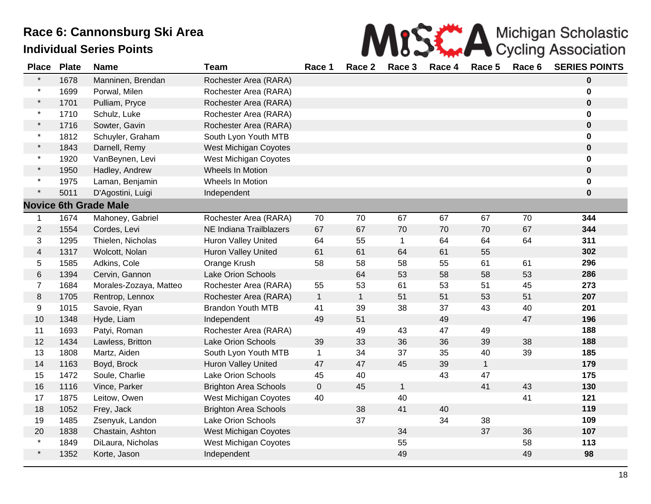

| <b>Place</b>            | <b>Plate</b> | <b>Name</b>                  | <b>Team</b>                  | Race 1         | Race 2       | Race 3       | Race 4 | Race 5       | Race 6 | <b>SERIES POINTS</b> |
|-------------------------|--------------|------------------------------|------------------------------|----------------|--------------|--------------|--------|--------------|--------|----------------------|
| $\star$                 | 1678         | Manninen, Brendan            | Rochester Area (RARA)        |                |              |              |        |              |        | $\mathbf 0$          |
| $\star$                 | 1699         | Porwal, Milen                | Rochester Area (RARA)        |                |              |              |        |              |        | $\mathbf 0$          |
| $\star$                 | 1701         | Pulliam, Pryce               | Rochester Area (RARA)        |                |              |              |        |              |        | $\mathbf 0$          |
| $\star$                 | 1710         | Schulz, Luke                 | Rochester Area (RARA)        |                |              |              |        |              |        | $\mathbf 0$          |
| $\star$                 | 1716         | Sowter, Gavin                | Rochester Area (RARA)        |                |              |              |        |              |        | $\pmb{0}$            |
| $\star$                 | 1812         | Schuyler, Graham             | South Lyon Youth MTB         |                |              |              |        |              |        | 0                    |
| $\star$                 | 1843         | Darnell, Remy                | <b>West Michigan Coyotes</b> |                |              |              |        |              |        | 0                    |
| $\star$                 | 1920         | VanBeynen, Levi              | <b>West Michigan Coyotes</b> |                |              |              |        |              |        | 0                    |
| $\star$                 | 1950         | Hadley, Andrew               | Wheels In Motion             |                |              |              |        |              |        | $\pmb{0}$            |
| $\star$                 | 1975         | Laman, Benjamin              | Wheels In Motion             |                |              |              |        |              |        | $\mathbf 0$          |
| $\star$                 | 5011         | D'Agostini, Luigi            | Independent                  |                |              |              |        |              |        | $\mathbf 0$          |
|                         |              | <b>Novice 6th Grade Male</b> |                              |                |              |              |        |              |        |                      |
| 1                       | 1674         | Mahoney, Gabriel             | Rochester Area (RARA)        | 70             | 70           | 67           | 67     | 67           | 70     | 344                  |
| $\mathbf{2}$            | 1554         | Cordes, Levi                 | NE Indiana Trailblazers      | 67             | 67           | 70           | 70     | 70           | 67     | 344                  |
| 3                       | 1295         | Thielen, Nicholas            | Huron Valley United          | 64             | 55           | $\mathbf{1}$ | 64     | 64           | 64     | 311                  |
| $\overline{\mathbf{4}}$ | 1317         | Wolcott, Nolan               | <b>Huron Valley United</b>   | 61             | 61           | 64           | 61     | 55           |        | 302                  |
| 5                       | 1585         | Adkins, Cole                 | Orange Krush                 | 58             | 58           | 58           | 55     | 61           | 61     | 296                  |
| 6                       | 1394         | Cervin, Gannon               | <b>Lake Orion Schools</b>    |                | 64           | 53           | 58     | 58           | 53     | 286                  |
| $\overline{7}$          | 1684         | Morales-Zozaya, Matteo       | Rochester Area (RARA)        | 55             | 53           | 61           | 53     | 51           | 45     | 273                  |
| 8                       | 1705         | Rentrop, Lennox              | Rochester Area (RARA)        | $\overline{1}$ | $\mathbf{1}$ | 51           | 51     | 53           | 51     | 207                  |
| 9                       | 1015         | Savoie, Ryan                 | <b>Brandon Youth MTB</b>     | 41             | 39           | 38           | 37     | 43           | 40     | 201                  |
| 10                      | 1348         | Hyde, Liam                   | Independent                  | 49             | 51           |              | 49     |              | 47     | 196                  |
| 11                      | 1693         | Patyi, Roman                 | Rochester Area (RARA)        |                | 49           | 43           | 47     | 49           |        | 188                  |
| 12                      | 1434         | Lawless, Britton             | <b>Lake Orion Schools</b>    | 39             | 33           | 36           | 36     | 39           | 38     | 188                  |
| 13                      | 1808         | Martz, Aiden                 | South Lyon Youth MTB         | $\mathbf{1}$   | 34           | 37           | 35     | 40           | 39     | 185                  |
| 14                      | 1163         | Boyd, Brock                  | Huron Valley United          | 47             | 47           | 45           | 39     | $\mathbf{1}$ |        | 179                  |
| 15                      | 1472         | Soule, Charlie               | Lake Orion Schools           | 45             | 40           |              | 43     | 47           |        | 175                  |
| 16                      | 1116         | Vince, Parker                | <b>Brighton Area Schools</b> | $\mathbf 0$    | 45           | $\mathbf{1}$ |        | 41           | 43     | 130                  |
| 17                      | 1875         | Leitow, Owen                 | <b>West Michigan Coyotes</b> | 40             |              | 40           |        |              | 41     | 121                  |
| 18                      | 1052         | Frey, Jack                   | <b>Brighton Area Schools</b> |                | 38           | 41           | 40     |              |        | 119                  |
| 19                      | 1485         | Zsenyuk, Landon              | Lake Orion Schools           |                | 37           |              | 34     | 38           |        | 109                  |
| 20                      | 1838         | Chastain, Ashton             | <b>West Michigan Coyotes</b> |                |              | 34           |        | 37           | 36     | 107                  |
| $\star$                 | 1849         | DiLaura, Nicholas            | <b>West Michigan Coyotes</b> |                |              | 55           |        |              | 58     | 113                  |
| $\star$                 | 1352         | Korte, Jason                 | Independent                  |                |              | 49           |        |              | 49     | 98                   |
|                         |              |                              |                              |                |              |              |        |              |        |                      |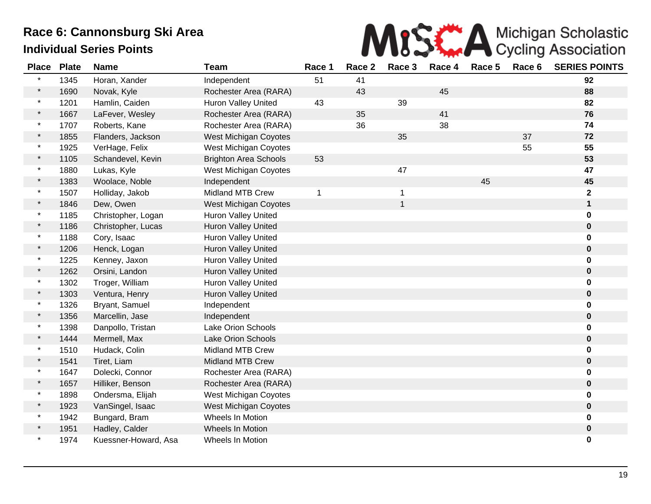

| <b>Place</b> | <b>Plate</b> | <b>Name</b>          | <b>Team</b>                  | Race 1      | Race 2 | Race 3       | Race 4 | Race 5 | Race 6 | <b>SERIES POINTS</b> |
|--------------|--------------|----------------------|------------------------------|-------------|--------|--------------|--------|--------|--------|----------------------|
| $\star$      | 1345         | Horan, Xander        | Independent                  | 51          | 41     |              |        |        |        | 92                   |
| $\star$      | 1690         | Novak, Kyle          | Rochester Area (RARA)        |             | 43     |              | 45     |        |        | 88                   |
| $\star$      | 1201         | Hamlin, Caiden       | <b>Huron Valley United</b>   | 43          |        | 39           |        |        |        | 82                   |
| $\star$      | 1667         | LaFever, Wesley      | Rochester Area (RARA)        |             | 35     |              | 41     |        |        | 76                   |
| $\star$      | 1707         | Roberts, Kane        | Rochester Area (RARA)        |             | 36     |              | 38     |        |        | 74                   |
| $\star$      | 1855         | Flanders, Jackson    | <b>West Michigan Coyotes</b> |             |        | 35           |        |        | 37     | 72                   |
| $\star$      | 1925         | VerHage, Felix       | West Michigan Coyotes        |             |        |              |        |        | 55     | 55                   |
| $\star$      | 1105         | Schandevel, Kevin    | <b>Brighton Area Schools</b> | 53          |        |              |        |        |        | 53                   |
| $\star$      | 1880         | Lukas, Kyle          | West Michigan Coyotes        |             |        | 47           |        |        |        | 47                   |
| $\star$      | 1383         | Woolace, Noble       | Independent                  |             |        |              |        | 45     |        | 45                   |
| $\star$      | 1507         | Holliday, Jakob      | <b>Midland MTB Crew</b>      | $\mathbf 1$ |        | $\mathbf{1}$ |        |        |        | $\mathbf 2$          |
| $\star$      | 1846         | Dew, Owen            | <b>West Michigan Coyotes</b> |             |        | $\mathbf{1}$ |        |        |        | $\mathbf 1$          |
| $\star$      | 1185         | Christopher, Logan   | <b>Huron Valley United</b>   |             |        |              |        |        |        | 0                    |
| $\star$      | 1186         | Christopher, Lucas   | Huron Valley United          |             |        |              |        |        |        | 0                    |
| $\star$      | 1188         | Cory, Isaac          | <b>Huron Valley United</b>   |             |        |              |        |        |        | 0                    |
| $\star$      | 1206         | Henck, Logan         | <b>Huron Valley United</b>   |             |        |              |        |        |        | 0                    |
| $\star$      | 1225         | Kenney, Jaxon        | <b>Huron Valley United</b>   |             |        |              |        |        |        | 0                    |
| $\star$      | 1262         | Orsini, Landon       | <b>Huron Valley United</b>   |             |        |              |        |        |        | 0                    |
| $\star$      | 1302         | Troger, William      | Huron Valley United          |             |        |              |        |        |        | 0                    |
| $\star$      | 1303         | Ventura, Henry       | <b>Huron Valley United</b>   |             |        |              |        |        |        | 0                    |
| $\star$      | 1326         | Bryant, Samuel       | Independent                  |             |        |              |        |        |        | 0                    |
| $\star$      | 1356         | Marcellin, Jase      | Independent                  |             |        |              |        |        |        | 0                    |
| $\star$      | 1398         | Danpollo, Tristan    | <b>Lake Orion Schools</b>    |             |        |              |        |        |        | 0                    |
| $\star$      | 1444         | Mermell, Max         | <b>Lake Orion Schools</b>    |             |        |              |        |        |        | $\mathbf 0$          |
| $\star$      | 1510         | Hudack, Colin        | <b>Midland MTB Crew</b>      |             |        |              |        |        |        | 0                    |
| $\star$      | 1541         | Tiret, Liam          | <b>Midland MTB Crew</b>      |             |        |              |        |        |        | 0                    |
| $\star$      | 1647         | Dolecki, Connor      | Rochester Area (RARA)        |             |        |              |        |        |        | 0                    |
| $\star$      | 1657         | Hilliker, Benson     | Rochester Area (RARA)        |             |        |              |        |        |        | 0                    |
| $\star$      | 1898         | Ondersma, Elijah     | West Michigan Coyotes        |             |        |              |        |        |        | 0                    |
| $\star$      | 1923         | VanSingel, Isaac     | West Michigan Coyotes        |             |        |              |        |        |        | 0                    |
| $\star$      | 1942         | Bungard, Bram        | Wheels In Motion             |             |        |              |        |        |        | 0                    |
|              | 1951         | Hadley, Calder       | Wheels In Motion             |             |        |              |        |        |        | 0                    |
| $\star$      | 1974         | Kuessner-Howard, Asa | Wheels In Motion             |             |        |              |        |        |        | 0                    |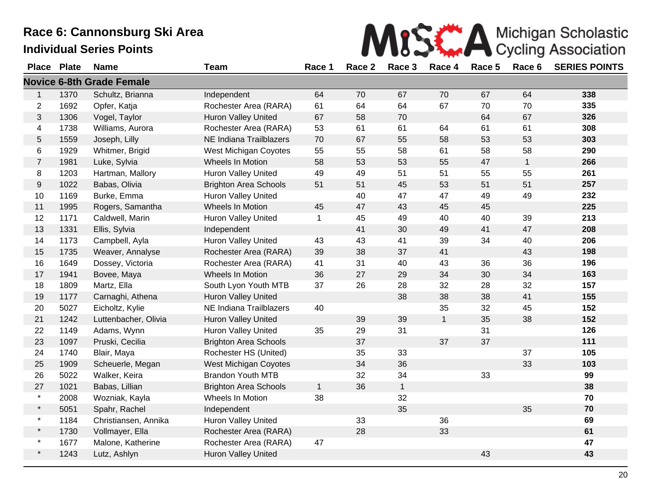**Place Plate Name 3 Team** 

|        |  |  | MISCHA Michigan Scholastic                       |  |
|--------|--|--|--------------------------------------------------|--|
| Race 1 |  |  | Race 2 Race 3 Race 4 Race 5 Race 6 SERIES POINTS |  |
|        |  |  |                                                  |  |

|                |      | <b>Novice 6-8th Grade Female</b> |                              |              |    |              |              |    |              |     |
|----------------|------|----------------------------------|------------------------------|--------------|----|--------------|--------------|----|--------------|-----|
| 1              | 1370 | Schultz, Brianna                 | Independent                  | 64           | 70 | 67           | 70           | 67 | 64           | 338 |
| 2              | 1692 | Opfer, Katja                     | Rochester Area (RARA)        | 61           | 64 | 64           | 67           | 70 | 70           | 335 |
| 3              | 1306 | Vogel, Taylor                    | <b>Huron Valley United</b>   | 67           | 58 | 70           |              | 64 | 67           | 326 |
| 4              | 1738 | Williams, Aurora                 | Rochester Area (RARA)        | 53           | 61 | 61           | 64           | 61 | 61           | 308 |
| 5              | 1559 | Joseph, Lilly                    | NE Indiana Trailblazers      | 70           | 67 | 55           | 58           | 53 | 53           | 303 |
| 6              | 1929 | Whitmer, Brigid                  | West Michigan Coyotes        | 55           | 55 | 58           | 61           | 58 | 58           | 290 |
| $\overline{7}$ | 1981 | Luke, Sylvia                     | Wheels In Motion             | 58           | 53 | 53           | 55           | 47 | $\mathbf{1}$ | 266 |
| 8              | 1203 | Hartman, Mallory                 | <b>Huron Valley United</b>   | 49           | 49 | 51           | 51           | 55 | 55           | 261 |
| 9              | 1022 | Babas, Olivia                    | <b>Brighton Area Schools</b> | 51           | 51 | 45           | 53           | 51 | 51           | 257 |
| 10             | 1169 | Burke, Emma                      | <b>Huron Valley United</b>   |              | 40 | 47           | 47           | 49 | 49           | 232 |
| 11             | 1995 | Rogers, Samantha                 | Wheels In Motion             | 45           | 47 | 43           | 45           | 45 |              | 225 |
| 12             | 1171 | Caldwell, Marin                  | Huron Valley United          | $\mathbf{1}$ | 45 | 49           | 40           | 40 | 39           | 213 |
| 13             | 1331 | Ellis, Sylvia                    | Independent                  |              | 41 | 30           | 49           | 41 | 47           | 208 |
| 14             | 1173 | Campbell, Ayla                   | Huron Valley United          | 43           | 43 | 41           | 39           | 34 | 40           | 206 |
| 15             | 1735 | Weaver, Annalyse                 | Rochester Area (RARA)        | 39           | 38 | 37           | 41           |    | 43           | 198 |
| 16             | 1649 | Dossey, Victoria                 | Rochester Area (RARA)        | 41           | 31 | 40           | 43           | 36 | 36           | 196 |
| 17             | 1941 | Bovee, Maya                      | Wheels In Motion             | 36           | 27 | 29           | 34           | 30 | 34           | 163 |
| 18             | 1809 | Martz, Ella                      | South Lyon Youth MTB         | 37           | 26 | 28           | 32           | 28 | 32           | 157 |
| 19             | 1177 | Carnaghi, Athena                 | <b>Huron Valley United</b>   |              |    | 38           | 38           | 38 | 41           | 155 |
| 20             | 5027 | Eicholtz, Kylie                  | NE Indiana Trailblazers      | 40           |    |              | 35           | 32 | 45           | 152 |
| 21             | 1242 | Luttenbacher, Olivia             | <b>Huron Valley United</b>   |              | 39 | 39           | $\mathbf{1}$ | 35 | 38           | 152 |
| 22             | 1149 | Adams, Wynn                      | <b>Huron Valley United</b>   | 35           | 29 | 31           |              | 31 |              | 126 |
| 23             | 1097 | Pruski, Cecilia                  | <b>Brighton Area Schools</b> |              | 37 |              | 37           | 37 |              | 111 |
| 24             | 1740 | Blair, Maya                      | Rochester HS (United)        |              | 35 | 33           |              |    | 37           | 105 |
| 25             | 1909 | Scheuerle, Megan                 | <b>West Michigan Coyotes</b> |              | 34 | 36           |              |    | 33           | 103 |
| 26             | 5022 | Walker, Keira                    | <b>Brandon Youth MTB</b>     |              | 32 | 34           |              | 33 |              | 99  |
| 27             | 1021 | Babas, Lillian                   | <b>Brighton Area Schools</b> | $\mathbf{1}$ | 36 | $\mathbf{1}$ |              |    |              | 38  |
| $\star$        | 2008 | Wozniak, Kayla                   | Wheels In Motion             | 38           |    | 32           |              |    |              | 70  |
| $\star$        | 5051 | Spahr, Rachel                    | Independent                  |              |    | 35           |              |    | 35           | 70  |
| $\star$        | 1184 | Christiansen, Annika             | Huron Valley United          |              | 33 |              | 36           |    |              | 69  |
| $\star$        | 1730 | Vollmayer, Ella                  | Rochester Area (RARA)        |              | 28 |              | 33           |    |              | 61  |
| $\star$        | 1677 | Malone, Katherine                | Rochester Area (RARA)        | 47           |    |              |              |    |              | 47  |
| $\star$        | 1243 | Lutz, Ashlyn                     | Huron Valley United          |              |    |              |              | 43 |              | 43  |
|                |      |                                  |                              |              |    |              |              |    |              |     |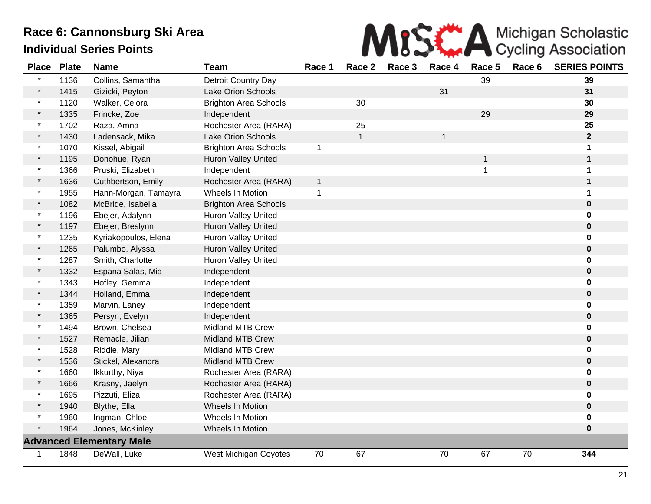

| <b>Place</b> | <b>Plate</b> | <b>Name</b>                     | <b>Team</b>                  | Race 1       | Race 2       | Race 3 | Race 4       | Race 5 | Race 6 | <b>SERIES POINTS</b> |
|--------------|--------------|---------------------------------|------------------------------|--------------|--------------|--------|--------------|--------|--------|----------------------|
|              | 1136         | Collins, Samantha               | Detroit Country Day          |              |              |        |              | 39     |        | 39                   |
| $\star$      | 1415         | Gizicki, Peyton                 | Lake Orion Schools           |              |              |        | 31           |        |        | 31                   |
| $\star$      | 1120         | Walker, Celora                  | <b>Brighton Area Schools</b> |              | 30           |        |              |        |        | 30                   |
|              | 1335         | Frincke, Zoe                    | Independent                  |              |              |        |              | 29     |        | 29                   |
| $\star$      | 1702         | Raza, Amna                      | Rochester Area (RARA)        |              | 25           |        |              |        |        | 25                   |
| $\star$      | 1430         | Ladensack, Mika                 | Lake Orion Schools           |              | $\mathbf{1}$ |        | $\mathbf{1}$ |        |        | $\mathbf{2}$         |
| $\star$      | 1070         | Kissel, Abigail                 | <b>Brighton Area Schools</b> | $\mathbf{1}$ |              |        |              |        |        |                      |
| $\star$      | 1195         | Donohue, Ryan                   | Huron Valley United          |              |              |        |              | 1      |        | 1                    |
| $\star$      | 1366         | Pruski, Elizabeth               | Independent                  |              |              |        |              | 1      |        | 1                    |
| $\star$      | 1636         | Cuthbertson, Emily              | Rochester Area (RARA)        | $\mathbf{1}$ |              |        |              |        |        | 1                    |
|              | 1955         | Hann-Morgan, Tamayra            | Wheels In Motion             | 1            |              |        |              |        |        | 1                    |
|              | 1082         | McBride, Isabella               | <b>Brighton Area Schools</b> |              |              |        |              |        |        | $\bf{0}$             |
| $\star$      | 1196         | Ebejer, Adalynn                 | Huron Valley United          |              |              |        |              |        |        | 0                    |
|              | 1197         | Ebejer, Breslynn                | Huron Valley United          |              |              |        |              |        |        | $\bf{0}$             |
| $\star$      | 1235         | Kyriakopoulos, Elena            | Huron Valley United          |              |              |        |              |        |        | 0                    |
| $\star$      | 1265         | Palumbo, Alyssa                 | Huron Valley United          |              |              |        |              |        |        | 0                    |
| $\star$      | 1287         | Smith, Charlotte                | <b>Huron Valley United</b>   |              |              |        |              |        |        | 0                    |
| $\star$      | 1332         | Espana Salas, Mia               | Independent                  |              |              |        |              |        |        | $\pmb{0}$            |
| $\star$      | 1343         | Hofley, Gemma                   | Independent                  |              |              |        |              |        |        | 0                    |
|              | 1344         | Holland, Emma                   | Independent                  |              |              |        |              |        |        | $\bf{0}$             |
|              | 1359         | Marvin, Laney                   | Independent                  |              |              |        |              |        |        | 0                    |
|              | 1365         | Persyn, Evelyn                  | Independent                  |              |              |        |              |        |        | $\bf{0}$             |
|              | 1494         | Brown, Chelsea                  | <b>Midland MTB Crew</b>      |              |              |        |              |        |        | $\bf{0}$             |
|              | 1527         | Remacle, Jilian                 | <b>Midland MTB Crew</b>      |              |              |        |              |        |        | $\pmb{0}$            |
| $\star$      | 1528         | Riddle, Mary                    | <b>Midland MTB Crew</b>      |              |              |        |              |        |        | 0                    |
| $\star$      | 1536         | Stickel, Alexandra              | <b>Midland MTB Crew</b>      |              |              |        |              |        |        | $\pmb{0}$            |
| $\star$      | 1660         | Ikkurthy, Niya                  | Rochester Area (RARA)        |              |              |        |              |        |        |                      |
|              | 1666         | Krasny, Jaelyn                  | Rochester Area (RARA)        |              |              |        |              |        |        | 0                    |
| $\star$      | 1695         | Pizzuti, Eliza                  | Rochester Area (RARA)        |              |              |        |              |        |        | 0                    |
|              | 1940         | Blythe, Ella                    | Wheels In Motion             |              |              |        |              |        |        | $\bf{0}$             |
|              | 1960         | Ingman, Chloe                   | Wheels In Motion             |              |              |        |              |        |        | 0                    |
| $\star$      | 1964         | Jones, McKinley                 | <b>Wheels In Motion</b>      |              |              |        |              |        |        | 0                    |
|              |              | <b>Advanced Elementary Male</b> |                              |              |              |        |              |        |        |                      |
| 1            | 1848         | DeWall, Luke                    | West Michigan Coyotes        | 70           | 67           |        | 70           | 67     | 70     | 344                  |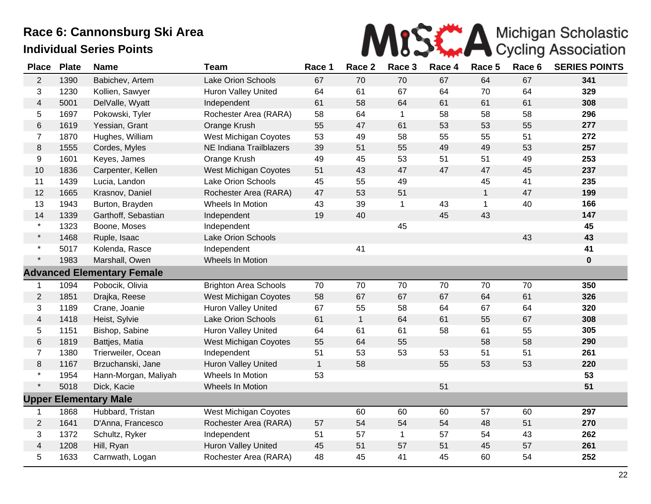

| <b>Place</b>            | <b>Plate</b> | <b>Name</b>                       | <b>Team</b>                  | Race 1       | Race 2       | Race 3       | Race 4 | Race 5       | Race 6 | <b>SERIES POINTS</b> |
|-------------------------|--------------|-----------------------------------|------------------------------|--------------|--------------|--------------|--------|--------------|--------|----------------------|
| $\overline{2}$          | 1390         | Babichev, Artem                   | Lake Orion Schools           | 67           | 70           | 70           | 67     | 64           | 67     | 341                  |
| 3                       | 1230         | Kollien, Sawyer                   | <b>Huron Valley United</b>   | 64           | 61           | 67           | 64     | 70           | 64     | 329                  |
| $\overline{4}$          | 5001         | DelValle, Wyatt                   | Independent                  | 61           | 58           | 64           | 61     | 61           | 61     | 308                  |
| 5                       | 1697         | Pokowski, Tyler                   | Rochester Area (RARA)        | 58           | 64           | $\mathbf{1}$ | 58     | 58           | 58     | 296                  |
| 6                       | 1619         | Yessian, Grant                    | Orange Krush                 | 55           | 47           | 61           | 53     | 53           | 55     | 277                  |
| $\overline{7}$          | 1870         | Hughes, William                   | <b>West Michigan Coyotes</b> | 53           | 49           | 58           | 55     | 55           | 51     | 272                  |
| 8                       | 1555         | Cordes, Myles                     | NE Indiana Trailblazers      | 39           | 51           | 55           | 49     | 49           | 53     | 257                  |
| 9                       | 1601         | Keyes, James                      | Orange Krush                 | 49           | 45           | 53           | 51     | 51           | 49     | 253                  |
| 10                      | 1836         | Carpenter, Kellen                 | <b>West Michigan Coyotes</b> | 51           | 43           | 47           | 47     | 47           | 45     | 237                  |
| 11                      | 1439         | Lucia, Landon                     | Lake Orion Schools           | 45           | 55           | 49           |        | 45           | 41     | 235                  |
| 12                      | 1665         | Krasnov, Daniel                   | Rochester Area (RARA)        | 47           | 53           | 51           |        | $\mathbf{1}$ | 47     | 199                  |
| 13                      | 1943         | Burton, Brayden                   | Wheels In Motion             | 43           | 39           | $\mathbf{1}$ | 43     | $\mathbf{1}$ | 40     | 166                  |
| 14                      | 1339         | Garthoff, Sebastian               | Independent                  | 19           | 40           |              | 45     | 43           |        | 147                  |
| $\star$                 | 1323         | Boone, Moses                      | Independent                  |              |              | 45           |        |              |        | 45                   |
| $\star$                 | 1468         | Ruple, Isaac                      | Lake Orion Schools           |              |              |              |        |              | 43     | 43                   |
| $\star$                 | 5017         | Kolenda, Rasce                    | Independent                  |              | 41           |              |        |              |        | 41                   |
| $\star$                 | 1983         | Marshall, Owen                    | Wheels In Motion             |              |              |              |        |              |        | $\bf{0}$             |
|                         |              | <b>Advanced Elementary Female</b> |                              |              |              |              |        |              |        |                      |
| 1                       | 1094         | Pobocik, Olivia                   | <b>Brighton Area Schools</b> | 70           | 70           | 70           | 70     | 70           | 70     | 350                  |
| $\overline{2}$          | 1851         | Drajka, Reese                     | <b>West Michigan Coyotes</b> | 58           | 67           | 67           | 67     | 64           | 61     | 326                  |
| 3                       | 1189         | Crane, Joanie                     | Huron Valley United          | 67           | 55           | 58           | 64     | 67           | 64     | 320                  |
| $\overline{\mathbf{4}}$ | 1418         | Heist, Sylvie                     | Lake Orion Schools           | 61           | $\mathbf{1}$ | 64           | 61     | 55           | 67     | 308                  |
| 5                       | 1151         | Bishop, Sabine                    | Huron Valley United          | 64           | 61           | 61           | 58     | 61           | 55     | 305                  |
| 6                       | 1819         | Battjes, Matia                    | <b>West Michigan Coyotes</b> | 55           | 64           | 55           |        | 58           | 58     | 290                  |
| $\overline{7}$          | 1380         | Trierweiler, Ocean                | Independent                  | 51           | 53           | 53           | 53     | 51           | 51     | 261                  |
| 8                       | 1167         | Brzuchanski, Jane                 | <b>Huron Valley United</b>   | $\mathbf{1}$ | 58           |              | 55     | 53           | 53     | 220                  |
| $\star$                 | 1954         | Hann-Morgan, Maliyah              | Wheels In Motion             | 53           |              |              |        |              |        | 53                   |
| $\star$                 | 5018         | Dick, Kacie                       | Wheels In Motion             |              |              |              | 51     |              |        | 51                   |
|                         |              | <b>Upper Elementary Male</b>      |                              |              |              |              |        |              |        |                      |
| 1                       | 1868         | Hubbard, Tristan                  | <b>West Michigan Coyotes</b> |              | 60           | 60           | 60     | 57           | 60     | 297                  |
| $\overline{2}$          | 1641         | D'Anna, Francesco                 | Rochester Area (RARA)        | 57           | 54           | 54           | 54     | 48           | 51     | 270                  |
| 3                       | 1372         | Schultz, Ryker                    | Independent                  | 51           | 57           | $\mathbf{1}$ | 57     | 54           | 43     | 262                  |
| $\overline{\mathbf{4}}$ | 1208         | Hill, Ryan                        | Huron Valley United          | 45           | 51           | 57           | 51     | 45           | 57     | 261                  |
| 5                       | 1633         | Carnwath, Logan                   | Rochester Area (RARA)        | 48           | 45           | 41           | 45     | 60           | 54     | 252                  |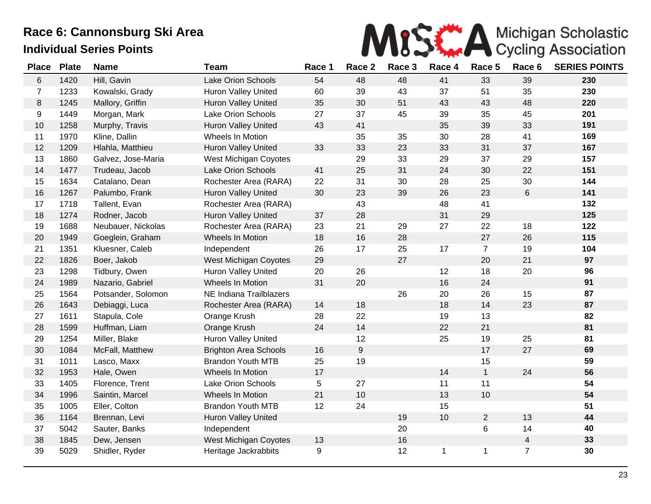

| <b>Place</b>   | <b>Plate</b> | <b>Name</b>        | Team                         | Race 1 | Race 2           | Race 3 | Race 4 | Race 5         | Race 6         | <b>SERIES POINTS</b> |
|----------------|--------------|--------------------|------------------------------|--------|------------------|--------|--------|----------------|----------------|----------------------|
| 6              | 1420         | Hill, Gavin        | Lake Orion Schools           | 54     | 48               | 48     | 41     | 33             | 39             | 230                  |
| $\overline{7}$ | 1233         | Kowalski, Grady    | <b>Huron Valley United</b>   | 60     | 39               | 43     | 37     | 51             | 35             | 230                  |
| $\,8\,$        | 1245         | Mallory, Griffin   | Huron Valley United          | 35     | 30               | 51     | 43     | 43             | 48             | 220                  |
| 9              | 1449         | Morgan, Mark       | <b>Lake Orion Schools</b>    | 27     | 37               | 45     | 39     | 35             | 45             | 201                  |
| 10             | 1258         | Murphy, Travis     | Huron Valley United          | 43     | 41               |        | 35     | 39             | 33             | 191                  |
| 11             | 1970         | Kline, Dallin      | Wheels In Motion             |        | 35               | 35     | 30     | 28             | 41             | 169                  |
| 12             | 1209         | Hlahla, Matthieu   | Huron Valley United          | 33     | 33               | 23     | 33     | 31             | 37             | 167                  |
| 13             | 1860         | Galvez, Jose-Maria | West Michigan Coyotes        |        | 29               | 33     | 29     | 37             | 29             | 157                  |
| 14             | 1477         | Trudeau, Jacob     | <b>Lake Orion Schools</b>    | 41     | 25               | 31     | 24     | 30             | 22             | 151                  |
| 15             | 1634         | Catalano, Dean     | Rochester Area (RARA)        | 22     | 31               | 30     | 28     | 25             | 30             | 144                  |
| 16             | 1267         | Palumbo, Frank     | <b>Huron Valley United</b>   | 30     | 23               | 39     | 26     | 23             | 6              | 141                  |
| 17             | 1718         | Tallent, Evan      | Rochester Area (RARA)        |        | 43               |        | 48     | 41             |                | 132                  |
| 18             | 1274         | Rodner, Jacob      | Huron Valley United          | 37     | 28               |        | 31     | 29             |                | 125                  |
| 19             | 1688         | Neubauer, Nickolas | Rochester Area (RARA)        | 23     | 21               | 29     | 27     | 22             | 18             | 122                  |
| 20             | 1949         | Goeglein, Graham   | Wheels In Motion             | 18     | 16               | 28     |        | 27             | 26             | 115                  |
| 21             | 1351         | Kluesner, Caleb    | Independent                  | 26     | 17               | 25     | 17     | $\overline{7}$ | 19             | 104                  |
| 22             | 1826         | Boer, Jakob        | West Michigan Coyotes        | 29     |                  | 27     |        | 20             | 21             | 97                   |
| 23             | 1298         | Tidbury, Owen      | <b>Huron Valley United</b>   | 20     | 26               |        | 12     | 18             | 20             | 96                   |
| 24             | 1989         | Nazario, Gabriel   | Wheels In Motion             | 31     | 20               |        | 16     | 24             |                | 91                   |
| 25             | 1564         | Potsander, Solomon | NE Indiana Trailblazers      |        |                  | 26     | 20     | 26             | 15             | 87                   |
| 26             | 1643         | Debiaggi, Luca     | Rochester Area (RARA)        | 14     | 18               |        | 18     | 14             | 23             | 87                   |
| 27             | 1611         | Stapula, Cole      | Orange Krush                 | 28     | 22               |        | 19     | 13             |                | 82                   |
| 28             | 1599         | Huffman, Liam      | Orange Krush                 | 24     | 14               |        | 22     | 21             |                | 81                   |
| 29             | 1254         | Miller, Blake      | Huron Valley United          |        | 12               |        | 25     | 19             | 25             | 81                   |
| $30\,$         | 1084         | McFall, Matthew    | <b>Brighton Area Schools</b> | 16     | $\boldsymbol{9}$ |        |        | 17             | 27             | 69                   |
| 31             | 1011         | Lasco, Maxx        | <b>Brandon Youth MTB</b>     | 25     | 19               |        |        | 15             |                | 59                   |
| 32             | 1953         | Hale, Owen         | Wheels In Motion             | 17     |                  |        | 14     | $\mathbf{1}$   | 24             | 56                   |
| 33             | 1405         | Florence, Trent    | <b>Lake Orion Schools</b>    | 5      | 27               |        | 11     | 11             |                | 54                   |
| 34             | 1996         | Saintin, Marcel    | Wheels In Motion             | 21     | 10               |        | 13     | 10             |                | 54                   |
| 35             | 1005         | Eller, Colton      | <b>Brandon Youth MTB</b>     | 12     | 24               |        | 15     |                |                | 51                   |
| 36             | 1164         | Brennan, Levi      | Huron Valley United          |        |                  | 19     | 10     | $\overline{2}$ | 13             | 44                   |
| 37             | 5042         | Sauter, Banks      | Independent                  |        |                  | 20     |        | 6              | 14             | 40                   |
| 38             | 1845         | Dew, Jensen        | West Michigan Coyotes        | 13     |                  | 16     |        |                | $\overline{4}$ | 33                   |
| 39             | 5029         | Shidler, Ryder     | Heritage Jackrabbits         | 9      |                  | 12     | 1      | 1              | $\overline{7}$ | 30                   |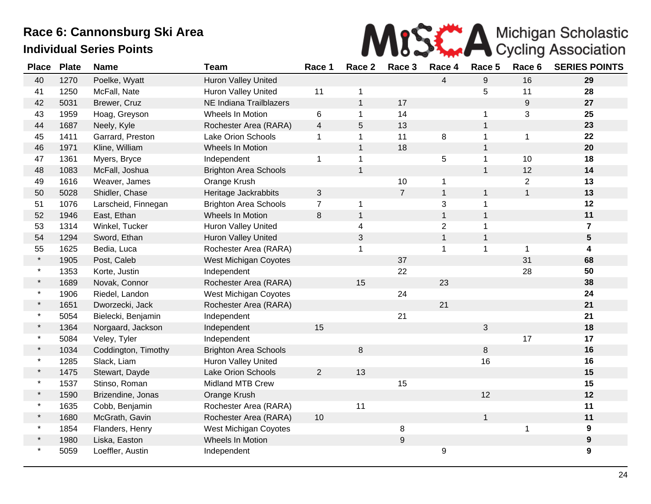

| <b>Place</b> | <b>Plate</b> | <b>Name</b>         | <b>Team</b>                  | Race 1         | Race 2         | Race 3         | Race 4         | Race 5           | Race 6           | <b>SERIES POINTS</b> |
|--------------|--------------|---------------------|------------------------------|----------------|----------------|----------------|----------------|------------------|------------------|----------------------|
| 40           | 1270         | Poelke, Wyatt       | Huron Valley United          |                |                |                | $\overline{4}$ | $\boldsymbol{9}$ | 16               | 29                   |
| 41           | 1250         | McFall, Nate        | <b>Huron Valley United</b>   | 11             | -1             |                |                | 5                | 11               | 28                   |
| 42           | 5031         | Brewer, Cruz        | NE Indiana Trailblazers      |                | $\mathbf{1}$   | 17             |                |                  | $\boldsymbol{9}$ | 27                   |
| 43           | 1959         | Hoag, Greyson       | Wheels In Motion             | 6              | $\mathbf 1$    | 14             |                | 1                | 3                | 25                   |
| 44           | 1687         | Neely, Kyle         | Rochester Area (RARA)        | $\overline{4}$ | $\overline{5}$ | 13             |                | $\mathbf{1}$     |                  | 23                   |
| 45           | 1411         | Garrard, Preston    | Lake Orion Schools           | $\mathbf 1$    | 1              | 11             | 8              | $\mathbf{1}$     | $\mathbf{1}$     | 22                   |
| 46           | 1971         | Kline, William      | Wheels In Motion             |                | $\mathbf{1}$   | 18             |                | $\mathbf{1}$     |                  | 20                   |
| 47           | 1361         | Myers, Bryce        | Independent                  | 1              | 1              |                | 5              | $\mathbf{1}$     | 10               | 18                   |
| 48           | 1083         | McFall, Joshua      | <b>Brighton Area Schools</b> |                | $\overline{1}$ |                |                | $\mathbf{1}$     | 12               | 14                   |
| 49           | 1616         | Weaver, James       | Orange Krush                 |                |                | 10             | $\mathbf{1}$   |                  | $\overline{2}$   | 13                   |
| 50           | 5028         | Shidler, Chase      | Heritage Jackrabbits         | 3              |                | $\overline{7}$ | $\mathbf{1}$   | $\mathbf{1}$     | $\mathbf 1$      | 13                   |
| 51           | 1076         | Larscheid, Finnegan | <b>Brighton Area Schools</b> | $\overline{7}$ | $\mathbf 1$    |                | 3              | 1                |                  | 12                   |
| 52           | 1946         | East, Ethan         | Wheels In Motion             | 8              | $\mathbf{1}$   |                | $\mathbf{1}$   | $\mathbf{1}$     |                  | 11                   |
| 53           | 1314         | Winkel, Tucker      | <b>Huron Valley United</b>   |                | $\overline{4}$ |                | $\mathbf{2}$   | $\mathbf{1}$     |                  | $\overline{7}$       |
| 54           | 1294         | Sword, Ethan        | Huron Valley United          |                | $\sqrt{3}$     |                | $\mathbf{1}$   | $\mathbf{1}$     |                  | $5\phantom{.0}$      |
| 55           | 1625         | Bedia, Luca         | Rochester Area (RARA)        |                | 1              |                | $\mathbf 1$    | $\mathbf{1}$     | 1                | 4                    |
| $\star$      | 1905         | Post, Caleb         | West Michigan Coyotes        |                |                | 37             |                |                  | 31               | 68                   |
| $\star$      | 1353         | Korte, Justin       | Independent                  |                |                | 22             |                |                  | 28               | 50                   |
| $\star$      | 1689         | Novak, Connor       | Rochester Area (RARA)        |                | 15             |                | 23             |                  |                  | 38                   |
| $\star$      | 1906         | Riedel, Landon      | West Michigan Coyotes        |                |                | 24             |                |                  |                  | 24                   |
| $\star$      | 1651         | Dworzecki, Jack     | Rochester Area (RARA)        |                |                |                | 21             |                  |                  | 21                   |
| $\star$      | 5054         | Bielecki, Benjamin  | Independent                  |                |                | 21             |                |                  |                  | 21                   |
| $\star$      | 1364         | Norgaard, Jackson   | Independent                  | 15             |                |                |                | 3                |                  | 18                   |
| $\star$      | 5084         | Veley, Tyler        | Independent                  |                |                |                |                |                  | 17               | 17                   |
| $\star$      | 1034         | Coddington, Timothy | <b>Brighton Area Schools</b> |                | $\,8\,$        |                |                | 8                |                  | 16                   |
| $\star$      | 1285         | Slack, Liam         | Huron Valley United          |                |                |                |                | 16               |                  | 16                   |
| $\star$      | 1475         | Stewart, Dayde      | <b>Lake Orion Schools</b>    | $\overline{2}$ | 13             |                |                |                  |                  | 15                   |
| $\star$      | 1537         | Stinso, Roman       | <b>Midland MTB Crew</b>      |                |                | 15             |                |                  |                  | 15                   |
| $\star$      | 1590         | Brizendine, Jonas   | Orange Krush                 |                |                |                |                | 12               |                  | 12                   |
| $\star$      | 1635         | Cobb, Benjamin      | Rochester Area (RARA)        |                | 11             |                |                |                  |                  | 11                   |
| $\star$      | 1680         | McGrath, Gavin      | Rochester Area (RARA)        | 10             |                |                |                | $\mathbf{1}$     |                  | 11                   |
| $\star$      | 1854         | Flanders, Henry     | West Michigan Coyotes        |                |                | 8              |                |                  | 1                | $\boldsymbol{9}$     |
|              | 1980         | Liska, Easton       | Wheels In Motion             |                |                | 9              |                |                  |                  | $\boldsymbol{9}$     |
| $\star$      | 5059         | Loeffler, Austin    | Independent                  |                |                |                | 9              |                  |                  | $\boldsymbol{9}$     |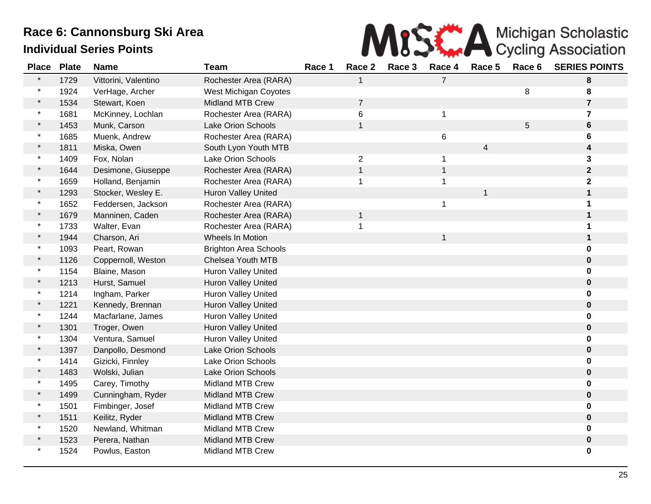

| <b>Place</b> | <b>Plate</b> | <b>Name</b>          | <b>Team</b>                  | Race 1 | Race 2         | Race 3 | Race 4         | Race 5 | Race 6 | <b>SERIES POINTS</b>    |
|--------------|--------------|----------------------|------------------------------|--------|----------------|--------|----------------|--------|--------|-------------------------|
|              | 1729         | Vittorini, Valentino | Rochester Area (RARA)        |        | 1              |        | $\overline{7}$ |        |        | 8                       |
|              | 1924         | VerHage, Archer      | West Michigan Coyotes        |        |                |        |                |        | 8      | 8                       |
|              | 1534         | Stewart, Koen        | <b>Midland MTB Crew</b>      |        | 7              |        |                |        |        | $\overline{\mathbf{r}}$ |
| $\star$      | 1681         | McKinney, Lochlan    | Rochester Area (RARA)        |        | 6              |        | $\mathbf 1$    |        |        | 7                       |
|              | 1453         | Munk, Carson         | <b>Lake Orion Schools</b>    |        | $\mathbf{1}$   |        |                |        | 5      | 6                       |
|              | 1685         | Muenk, Andrew        | Rochester Area (RARA)        |        |                |        | 6              |        |        | 6                       |
|              | 1811         | Miska, Owen          | South Lyon Youth MTB         |        |                |        |                | 4      |        | 4                       |
| $\star$      | 1409         | Fox, Nolan           | Lake Orion Schools           |        | $\overline{2}$ |        | 1              |        |        | 3                       |
| $\star$      | 1644         | Desimone, Giuseppe   | Rochester Area (RARA)        |        | $\mathbf{1}$   |        | $\mathbf{1}$   |        |        | $\mathbf{2}$            |
|              | 1659         | Holland, Benjamin    | Rochester Area (RARA)        |        | 1              |        | $\mathbf 1$    |        |        | $\mathbf 2$             |
|              | 1293         | Stocker, Wesley E.   | <b>Huron Valley United</b>   |        |                |        |                | 1      |        | 1                       |
| $\star$      | 1652         | Feddersen, Jackson   | Rochester Area (RARA)        |        |                |        | $\mathbf 1$    |        |        | 1                       |
|              | 1679         | Manninen, Caden      | Rochester Area (RARA)        |        | $\mathbf{1}$   |        |                |        |        |                         |
| $\star$      | 1733         | Walter, Evan         | Rochester Area (RARA)        |        |                |        |                |        |        |                         |
| $\star$      | 1944         | Charson, Ari         | Wheels In Motion             |        |                |        |                |        |        |                         |
| $\ast$       | 1093         | Peart, Rowan         | <b>Brighton Area Schools</b> |        |                |        |                |        |        | 0                       |
|              | 1126         | Coppernoll, Weston   | Chelsea Youth MTB            |        |                |        |                |        |        | 0                       |
|              | 1154         | Blaine, Mason        | <b>Huron Valley United</b>   |        |                |        |                |        |        | 0                       |
|              | 1213         | Hurst, Samuel        | Huron Valley United          |        |                |        |                |        |        | $\mathbf 0$             |
| $\ast$       | 1214         | Ingham, Parker       | <b>Huron Valley United</b>   |        |                |        |                |        |        | 0                       |
|              | 1221         | Kennedy, Brennan     | <b>Huron Valley United</b>   |        |                |        |                |        |        | $\mathbf 0$             |
|              | 1244         | Macfarlane, James    | Huron Valley United          |        |                |        |                |        |        |                         |
|              | 1301         | Troger, Owen         | Huron Valley United          |        |                |        |                |        |        | 0                       |
| $\star$      | 1304         | Ventura, Samuel      | Huron Valley United          |        |                |        |                |        |        |                         |
|              | 1397         | Danpollo, Desmond    | Lake Orion Schools           |        |                |        |                |        |        | 0                       |
|              | 1414         | Gizicki, Finnley     | Lake Orion Schools           |        |                |        |                |        |        | 0                       |
|              | 1483         | Wolski, Julian       | Lake Orion Schools           |        |                |        |                |        |        | 0                       |
| $\star$      | 1495         | Carey, Timothy       | <b>Midland MTB Crew</b>      |        |                |        |                |        |        | 0                       |
|              | 1499         | Cunningham, Ryder    | <b>Midland MTB Crew</b>      |        |                |        |                |        |        | 0                       |
| $\star$      | 1501         | Fimbinger, Josef     | <b>Midland MTB Crew</b>      |        |                |        |                |        |        |                         |
|              | 1511         | Keilitz, Ryder       | <b>Midland MTB Crew</b>      |        |                |        |                |        |        | 0                       |
|              | 1520         | Newland, Whitman     | <b>Midland MTB Crew</b>      |        |                |        |                |        |        | 0                       |
|              | 1523         | Perera, Nathan       | Midland MTB Crew             |        |                |        |                |        |        | 0                       |
|              | 1524         | Powlus, Easton       | Midland MTB Crew             |        |                |        |                |        |        | 0                       |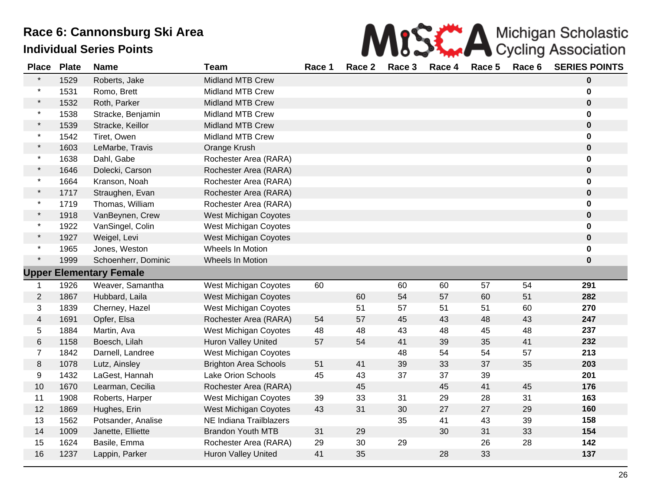|   | MISS A Michigan Scholastic                                                                                                                                                                                                                                                                                                                                                           |
|---|--------------------------------------------------------------------------------------------------------------------------------------------------------------------------------------------------------------------------------------------------------------------------------------------------------------------------------------------------------------------------------------|
| . | $\overline{a}$ $\overline{a}$ $\overline{a}$ $\overline{a}$ $\overline{a}$ $\overline{a}$ $\overline{a}$ $\overline{a}$ $\overline{a}$ $\overline{a}$ $\overline{a}$ $\overline{a}$ $\overline{a}$ $\overline{a}$ $\overline{a}$ $\overline{a}$ $\overline{a}$ $\overline{a}$ $\overline{a}$ $\overline{a}$ $\overline{a}$ $\overline{a}$ $\overline{a}$ $\overline{a}$ $\overline{$ |

| <b>Place</b>            | <b>Plate</b> | <b>Name</b>                    | <b>Team</b>                  | Race 1 | Race 2 | Race 3 | Race 4 | Race 5 | Race 6 | <b>SERIES POINTS</b> |
|-------------------------|--------------|--------------------------------|------------------------------|--------|--------|--------|--------|--------|--------|----------------------|
| $\star$                 | 1529         | Roberts, Jake                  | Midland MTB Crew             |        |        |        |        |        |        | 0                    |
| $\star$                 | 1531         | Romo, Brett                    | <b>Midland MTB Crew</b>      |        |        |        |        |        |        | 0                    |
| $\star$                 | 1532         | Roth, Parker                   | <b>Midland MTB Crew</b>      |        |        |        |        |        |        | $\mathbf 0$          |
| $\star$                 | 1538         | Stracke, Benjamin              | <b>Midland MTB Crew</b>      |        |        |        |        |        |        | 0                    |
| $\star$                 | 1539         | Stracke, Keillor               | <b>Midland MTB Crew</b>      |        |        |        |        |        |        | $\mathbf 0$          |
| $\star$                 | 1542         | Tiret, Owen                    | <b>Midland MTB Crew</b>      |        |        |        |        |        |        | 0                    |
| $\star$                 | 1603         | LeMarbe, Travis                | Orange Krush                 |        |        |        |        |        |        | 0                    |
| $\star$                 | 1638         | Dahl, Gabe                     | Rochester Area (RARA)        |        |        |        |        |        |        | 0                    |
| $\star$                 | 1646         | Dolecki, Carson                | Rochester Area (RARA)        |        |        |        |        |        |        | $\boldsymbol{0}$     |
| $\star$                 | 1664         | Kranson, Noah                  | Rochester Area (RARA)        |        |        |        |        |        |        | 0                    |
| $\star$                 | 1717         | Straughen, Evan                | Rochester Area (RARA)        |        |        |        |        |        |        | 0                    |
| $\star$                 | 1719         | Thomas, William                | Rochester Area (RARA)        |        |        |        |        |        |        | 0                    |
| $\star$                 | 1918         | VanBeynen, Crew                | <b>West Michigan Coyotes</b> |        |        |        |        |        |        | 0                    |
| $\star$                 | 1922         | VanSingel, Colin               | West Michigan Coyotes        |        |        |        |        |        |        | 0                    |
| $\star$                 | 1927         | Weigel, Levi                   | <b>West Michigan Coyotes</b> |        |        |        |        |        |        | $\mathbf 0$          |
| $\star$                 | 1965         | Jones, Weston                  | Wheels In Motion             |        |        |        |        |        |        | 0                    |
| $\star$                 | 1999         | Schoenherr, Dominic            | Wheels In Motion             |        |        |        |        |        |        | 0                    |
|                         |              | <b>Upper Elementary Female</b> |                              |        |        |        |        |        |        |                      |
| $\mathbf{1}$            | 1926         | Weaver, Samantha               | <b>West Michigan Coyotes</b> | 60     |        | 60     | 60     | 57     | 54     | 291                  |
| $\overline{2}$          | 1867         | Hubbard, Laila                 | <b>West Michigan Coyotes</b> |        | 60     | 54     | 57     | 60     | 51     | 282                  |
| 3                       | 1839         | Cherney, Hazel                 | West Michigan Coyotes        |        | 51     | 57     | 51     | 51     | 60     | 270                  |
| $\overline{\mathbf{4}}$ | 1691         | Opfer, Elsa                    | Rochester Area (RARA)        | 54     | 57     | 45     | 43     | 48     | 43     | 247                  |
| $\,$ 5 $\,$             | 1884         | Martin, Ava                    | <b>West Michigan Coyotes</b> | 48     | 48     | 43     | 48     | 45     | 48     | 237                  |
| $\,6$                   | 1158         | Boesch, Lilah                  | <b>Huron Valley United</b>   | 57     | 54     | 41     | 39     | 35     | 41     | 232                  |
| $\overline{7}$          | 1842         | Darnell, Landree               | West Michigan Coyotes        |        |        | 48     | 54     | 54     | 57     | 213                  |
| $\bf 8$                 | 1078         | Lutz, Ainsley                  | <b>Brighton Area Schools</b> | 51     | 41     | 39     | 33     | 37     | 35     | 203                  |
| 9                       | 1432         | LaGest, Hannah                 | Lake Orion Schools           | 45     | 43     | 37     | 37     | 39     |        | 201                  |
| 10                      | 1670         | Learman, Cecilia               | Rochester Area (RARA)        |        | 45     |        | 45     | 41     | 45     | 176                  |
| 11                      | 1908         | Roberts, Harper                | West Michigan Coyotes        | 39     | 33     | 31     | 29     | 28     | 31     | 163                  |
| 12                      | 1869         | Hughes, Erin                   | <b>West Michigan Coyotes</b> | 43     | 31     | 30     | 27     | 27     | 29     | 160                  |
| 13                      | 1562         | Potsander, Analise             | NE Indiana Trailblazers      |        |        | 35     | 41     | 43     | 39     | 158                  |
| 14                      | 1009         | Janette, Elliette              | <b>Brandon Youth MTB</b>     | 31     | 29     |        | 30     | 31     | 33     | 154                  |
| 15                      | 1624         | Basile, Emma                   | Rochester Area (RARA)        | 29     | 30     | 29     |        | 26     | 28     | 142                  |
| 16                      | 1237         | Lappin, Parker                 | <b>Huron Valley United</b>   | 41     | 35     |        | 28     | 33     |        | 137                  |
|                         |              |                                |                              |        |        |        |        |        |        |                      |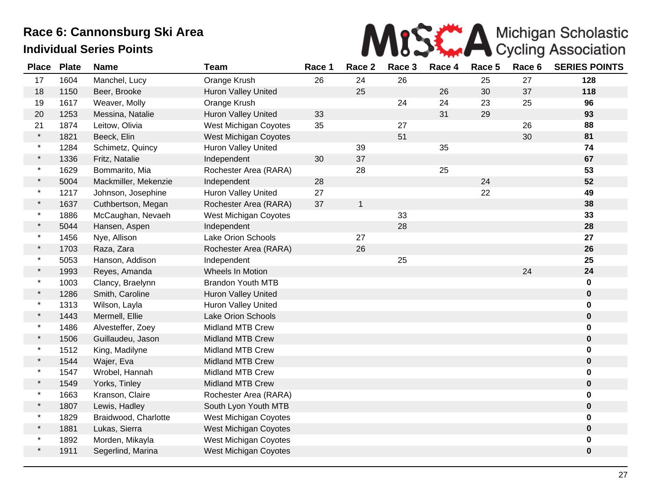

| <b>Place</b> | <b>Plate</b> | <b>Name</b>          | <b>Team</b>                  | Race 1 | Race 2       | Race 3 | Race 4 | Race 5 | Race 6 | <b>SERIES POINTS</b> |
|--------------|--------------|----------------------|------------------------------|--------|--------------|--------|--------|--------|--------|----------------------|
| 17           | 1604         | Manchel, Lucy        | Orange Krush                 | 26     | 24           | 26     |        | 25     | 27     | 128                  |
| 18           | 1150         | Beer, Brooke         | Huron Valley United          |        | 25           |        | 26     | 30     | 37     | 118                  |
| 19           | 1617         | Weaver, Molly        | Orange Krush                 |        |              | 24     | 24     | 23     | 25     | 96                   |
| 20           | 1253         | Messina, Natalie     | Huron Valley United          | 33     |              |        | 31     | 29     |        | 93                   |
| 21           | 1874         | Leitow, Olivia       | <b>West Michigan Coyotes</b> | 35     |              | 27     |        |        | 26     | 88                   |
| $\star$      | 1821         | Beeck, Elin          | West Michigan Coyotes        |        |              | 51     |        |        | 30     | 81                   |
| $\star$      | 1284         | Schimetz, Quincy     | Huron Valley United          |        | 39           |        | 35     |        |        | 74                   |
| $\star$      | 1336         | Fritz, Natalie       | Independent                  | 30     | 37           |        |        |        |        | 67                   |
| $\star$      | 1629         | Bommarito, Mia       | Rochester Area (RARA)        |        | 28           |        | 25     |        |        | 53                   |
| $\star$      | 5004         | Mackmiller, Mekenzie | Independent                  | 28     |              |        |        | 24     |        | 52                   |
| $\star$      | 1217         | Johnson, Josephine   | <b>Huron Valley United</b>   | 27     |              |        |        | 22     |        | 49                   |
| $\star$      | 1637         | Cuthbertson, Megan   | Rochester Area (RARA)        | 37     | $\mathbf{1}$ |        |        |        |        | 38                   |
| $\star$      | 1886         | McCaughan, Nevaeh    | <b>West Michigan Coyotes</b> |        |              | 33     |        |        |        | 33                   |
| $\star$      | 5044         | Hansen, Aspen        | Independent                  |        |              | 28     |        |        |        | 28                   |
| $\star$      | 1456         | Nye, Allison         | Lake Orion Schools           |        | 27           |        |        |        |        | 27                   |
| $\star$      | 1703         | Raza, Zara           | Rochester Area (RARA)        |        | 26           |        |        |        |        | 26                   |
| $\star$      | 5053         | Hanson, Addison      | Independent                  |        |              | 25     |        |        |        | 25                   |
| $\star$      | 1993         | Reyes, Amanda        | Wheels In Motion             |        |              |        |        |        | 24     | 24                   |
| $\star$      | 1003         | Clancy, Braelynn     | Brandon Youth MTB            |        |              |        |        |        |        | $\mathbf 0$          |
| $\star$      | 1286         | Smith, Caroline      | <b>Huron Valley United</b>   |        |              |        |        |        |        | $\mathbf 0$          |
| $\ast$       | 1313         | Wilson, Layla        | <b>Huron Valley United</b>   |        |              |        |        |        |        | 0                    |
| $\star$      | 1443         | Mermell, Ellie       | <b>Lake Orion Schools</b>    |        |              |        |        |        |        | $\mathbf 0$          |
| $\star$      | 1486         | Alvesteffer, Zoey    | <b>Midland MTB Crew</b>      |        |              |        |        |        |        | $\bf{0}$             |
| $\star$      | 1506         | Guillaudeu, Jason    | <b>Midland MTB Crew</b>      |        |              |        |        |        |        | $\mathbf 0$          |
| $\star$      | 1512         | King, Madilyne       | <b>Midland MTB Crew</b>      |        |              |        |        |        |        | 0                    |
| $\star$      | 1544         | Wajer, Eva           | <b>Midland MTB Crew</b>      |        |              |        |        |        |        | $\bf{0}$             |
| $\star$      | 1547         | Wrobel, Hannah       | Midland MTB Crew             |        |              |        |        |        |        | $\mathbf 0$          |
| $\star$      | 1549         | Yorks, Tinley        | <b>Midland MTB Crew</b>      |        |              |        |        |        |        | $\mathbf 0$          |
| $\star$      | 1663         | Kranson, Claire      | Rochester Area (RARA)        |        |              |        |        |        |        | 0                    |
| $\star$      | 1807         | Lewis, Hadley        | South Lyon Youth MTB         |        |              |        |        |        |        | $\mathbf 0$          |
| $\star$      | 1829         | Braidwood, Charlotte | <b>West Michigan Coyotes</b> |        |              |        |        |        |        | $\mathbf 0$          |
| $\star$      | 1881         | Lukas, Sierra        | West Michigan Coyotes        |        |              |        |        |        |        | $\mathbf 0$          |
| $\star$      | 1892         | Morden, Mikayla      | West Michigan Coyotes        |        |              |        |        |        |        | 0                    |
| $\star$      | 1911         | Segerlind, Marina    | West Michigan Coyotes        |        |              |        |        |        |        | $\mathbf 0$          |
|              |              |                      |                              |        |              |        |        |        |        |                      |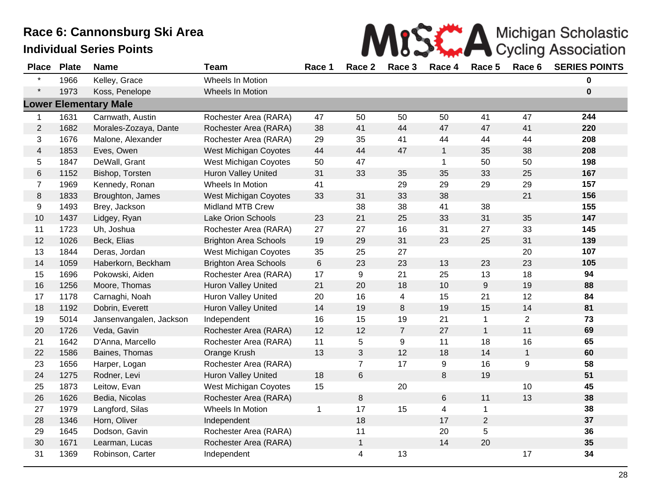|  | MISE A Michigan Scholastic |  |
|--|----------------------------|--|
|  |                            |  |

| <b>Place</b>   | <b>Plate</b> | <b>Name</b>                  | <b>Team</b>                  | Race 1          | Race 2         | Race 3         | Race 4       | Race 5         | Race 6           | <b>SERIES POINTS</b> |
|----------------|--------------|------------------------------|------------------------------|-----------------|----------------|----------------|--------------|----------------|------------------|----------------------|
|                | 1966         | Kelley, Grace                | Wheels In Motion             |                 |                |                |              |                |                  | 0                    |
| $\star$        | 1973         | Koss, Penelope               | Wheels In Motion             |                 |                |                |              |                |                  | $\mathbf 0$          |
|                |              | <b>Lower Elementary Male</b> |                              |                 |                |                |              |                |                  |                      |
| $\mathbf 1$    | 1631         | Carnwath, Austin             | Rochester Area (RARA)        | 47              | 50             | 50             | 50           | 41             | 47               | 244                  |
| $\overline{2}$ | 1682         | Morales-Zozaya, Dante        | Rochester Area (RARA)        | 38              | 41             | 44             | 47           | 47             | 41               | 220                  |
| 3              | 1676         | Malone, Alexander            | Rochester Area (RARA)        | 29              | 35             | 41             | 44           | 44             | 44               | 208                  |
| $\overline{4}$ | 1853         | Eves, Owen                   | <b>West Michigan Coyotes</b> | 44              | 44             | 47             | $\mathbf{1}$ | 35             | 38               | 208                  |
| 5              | 1847         | DeWall, Grant                | West Michigan Coyotes        | 50              | 47             |                | $\mathbf 1$  | 50             | 50               | 198                  |
| $\,6$          | 1152         | Bishop, Torsten              | <b>Huron Valley United</b>   | 31              | 33             | 35             | 35           | 33             | 25               | 167                  |
| $\overline{7}$ | 1969         | Kennedy, Ronan               | Wheels In Motion             | 41              |                | 29             | 29           | 29             | 29               | 157                  |
| $\,8\,$        | 1833         | Broughton, James             | <b>West Michigan Coyotes</b> | 33              | 31             | 33             | 38           |                | 21               | 156                  |
| 9              | 1493         | Brey, Jackson                | <b>Midland MTB Crew</b>      |                 | 38             | 38             | 41           | 38             |                  | 155                  |
| 10             | 1437         | Lidgey, Ryan                 | Lake Orion Schools           | 23              | 21             | 25             | 33           | 31             | 35               | 147                  |
| 11             | 1723         | Uh, Joshua                   | Rochester Area (RARA)        | 27              | 27             | 16             | 31           | 27             | 33               | 145                  |
| 12             | 1026         | Beck, Elias                  | <b>Brighton Area Schools</b> | 19              | 29             | 31             | 23           | 25             | 31               | 139                  |
| 13             | 1844         | Deras, Jordan                | <b>West Michigan Coyotes</b> | 35              | 25             | 27             |              |                | 20               | 107                  |
| 14             | 1059         | Haberkorn, Beckham           | <b>Brighton Area Schools</b> | $6\phantom{1}6$ | 23             | 23             | 13           | 23             | 23               | 105                  |
| 15             | 1696         | Pokowski, Aiden              | Rochester Area (RARA)        | 17              | 9              | 21             | 25           | 13             | 18               | 94                   |
| 16             | 1256         | Moore, Thomas                | Huron Valley United          | 21              | 20             | 18             | 10           | 9              | 19               | 88                   |
| 17             | 1178         | Carnaghi, Noah               | Huron Valley United          | 20              | 16             | 4              | 15           | 21             | 12               | 84                   |
| 18             | 1192         | Dobrin, Everett              | Huron Valley United          | 14              | 19             | $\bf 8$        | 19           | 15             | 14               | 81                   |
| 19             | 5014         | Jansenvangalen, Jackson      | Independent                  | 16              | 15             | 19             | 21           | 1              | $\overline{2}$   | 73                   |
| 20             | 1726         | Veda, Gavin                  | Rochester Area (RARA)        | 12              | 12             | $\overline{7}$ | 27           | $\mathbf{1}$   | 11               | 69                   |
| 21             | 1642         | D'Anna, Marcello             | Rochester Area (RARA)        | 11              | 5              | 9              | 11           | 18             | 16               | 65                   |
| 22             | 1586         | Baines, Thomas               | Orange Krush                 | 13              | $\mathfrak{S}$ | 12             | 18           | 14             | $\mathbf{1}$     | 60                   |
| 23             | 1656         | Harper, Logan                | Rochester Area (RARA)        |                 | $\overline{7}$ | 17             | 9            | 16             | $\boldsymbol{9}$ | 58                   |
| 24             | 1275         | Rodner, Levi                 | <b>Huron Valley United</b>   | 18              | 6              |                | 8            | 19             |                  | 51                   |
| 25             | 1873         | Leitow, Evan                 | West Michigan Coyotes        | 15              |                | 20             |              |                | 10               | 45                   |
| 26             | 1626         | Bedia, Nicolas               | Rochester Area (RARA)        |                 | 8              |                | $\,6$        | 11             | 13               | 38                   |
| 27             | 1979         | Langford, Silas              | Wheels In Motion             | $\mathbf{1}$    | 17             | 15             | 4            | $\mathbf{1}$   |                  | 38                   |
| 28             | 1346         | Horn, Oliver                 | Independent                  |                 | 18             |                | 17           | $\overline{2}$ |                  | 37                   |
| 29             | 1645         | Dodson, Gavin                | Rochester Area (RARA)        |                 | 11             |                | 20           | 5              |                  | 36                   |
| 30             | 1671         | Learman, Lucas               | Rochester Area (RARA)        |                 | $\mathbf{1}$   |                | 14           | 20             |                  | 35                   |
| 31             | 1369         | Robinson, Carter             | Independent                  |                 | 4              | 13             |              |                | 17               | 34                   |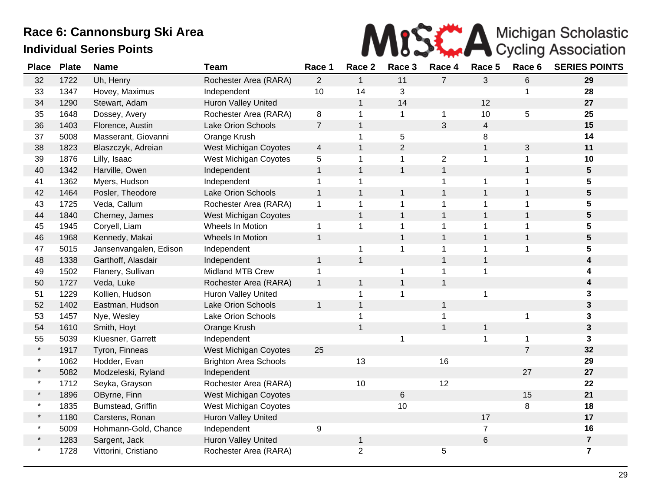

| <b>Place</b> | <b>Plate</b> | <b>Name</b>            | <b>Team</b>                  | Race 1                   | Race 2         | Race 3       | Race 4         | Race 5         | Race 6         | <b>SERIES POINTS</b> |
|--------------|--------------|------------------------|------------------------------|--------------------------|----------------|--------------|----------------|----------------|----------------|----------------------|
| 32           | 1722         | Uh, Henry              | Rochester Area (RARA)        | $\overline{2}$           | $\mathbf{1}$   | 11           | $\overline{7}$ | 3              | 6              | 29                   |
| 33           | 1347         | Hovey, Maximus         | Independent                  | 10                       | 14             | 3            |                |                | 1              | 28                   |
| 34           | 1290         | Stewart, Adam          | Huron Valley United          |                          | $\mathbf{1}$   | 14           |                | 12             |                | 27                   |
| 35           | 1648         | Dossey, Avery          | Rochester Area (RARA)        | 8                        | 1              | $\mathbf{1}$ | $\mathbf{1}$   | 10             | 5              | 25                   |
| 36           | 1403         | Florence, Austin       | Lake Orion Schools           | $\overline{7}$           | $\mathbf{1}$   |              | 3              | $\overline{4}$ |                | 15                   |
| 37           | 5008         | Masserant, Giovanni    | Orange Krush                 |                          | $\mathbf 1$    | $\sqrt{5}$   |                | 8              |                | 14                   |
| 38           | 1823         | Blaszczyk, Adreian     | West Michigan Coyotes        | $\overline{\mathcal{A}}$ | $\mathbf{1}$   | $\mathbf{2}$ |                | $\mathbf{1}$   | 3              | 11                   |
| 39           | 1876         | Lilly, Isaac           | West Michigan Coyotes        | 5                        | 1              | $\mathbf{1}$ | $\overline{2}$ | $\mathbf{1}$   | $\mathbf{1}$   | 10                   |
| 40           | 1342         | Harville, Owen         | Independent                  | $\mathbf{1}$             | $\mathbf{1}$   | $\mathbf{1}$ | $\mathbf{1}$   |                | $\mathbf{1}$   | $\sqrt{5}$           |
| 41           | 1362         | Myers, Hudson          | Independent                  | $\mathbf 1$              | 1              |              | 1              | $\mathbf 1$    | $\mathbf 1$    | 5                    |
| 42           | 1464         | Posler, Theodore       | Lake Orion Schools           | $\mathbf{1}$             | $\mathbf{1}$   | $\mathbf{1}$ | $\mathbf{1}$   | $\mathbf{1}$   | $\mathbf{1}$   | 5                    |
| 43           | 1725         | Veda, Callum           | Rochester Area (RARA)        | $\mathbf 1$              | 1              | $\mathbf{1}$ | 1              | $\mathbf{1}$   | 1              | 5                    |
| 44           | 1840         | Cherney, James         | West Michigan Coyotes        |                          | $\mathbf{1}$   | $\mathbf{1}$ | $\mathbf{1}$   | $\mathbf{1}$   | $\mathbf{1}$   | $5\phantom{.0}$      |
| 45           | 1945         | Coryell, Liam          | Wheels In Motion             | $\mathbf{1}$             | $\mathbf 1$    | $\mathbf{1}$ | 1              | 1              | $\mathbf{1}$   | 5                    |
| 46           | 1968         | Kennedy, Makai         | Wheels In Motion             | $\mathbf{1}$             |                | $\mathbf{1}$ | $\mathbf{1}$   | $\mathbf{1}$   | $\mathbf{1}$   | 5                    |
| 47           | 5015         | Jansenvangalen, Edison | Independent                  |                          | 1              | $\mathbf{1}$ | 1              | $\mathbf 1$    | 1              | 5                    |
| 48           | 1338         | Garthoff, Alasdair     | Independent                  | $\mathbf{1}$             | $\mathbf{1}$   |              | 1              | $\mathbf{1}$   |                | 4                    |
| 49           | 1502         | Flanery, Sullivan      | Midland MTB Crew             | 1                        |                | $\mathbf 1$  | $\mathbf{1}$   | $\mathbf 1$    |                | 4                    |
| 50           | 1727         | Veda, Luke             | Rochester Area (RARA)        | $\mathbf{1}$             | $\mathbf 1$    | $\mathbf{1}$ | $\mathbf{1}$   |                |                | 4                    |
| 51           | 1229         | Kollien, Hudson        | <b>Huron Valley United</b>   |                          | $\mathbf{1}$   | $\mathbf{1}$ |                | 1              |                | 3                    |
| 52           | 1402         | Eastman, Hudson        | Lake Orion Schools           | $\mathbf{1}$             | $\mathbf{1}$   |              | $\mathbf{1}$   |                |                | 3                    |
| 53           | 1457         | Nye, Wesley            | Lake Orion Schools           |                          | 1              |              | $\mathbf 1$    |                | $\mathbf 1$    | 3                    |
| 54           | 1610         | Smith, Hoyt            | Orange Krush                 |                          | $\mathbf{1}$   |              | $\mathbf{1}$   | 1              |                | $\mathbf{3}$         |
| 55           | 5039         | Kluesner, Garrett      | Independent                  |                          |                | 1            |                | 1              | 1              | 3                    |
| $\star$      | 1917         | Tyron, Finneas         | <b>West Michigan Coyotes</b> | 25                       |                |              |                |                | $\overline{7}$ | 32                   |
| $\star$      | 1062         | Hodder, Evan           | <b>Brighton Area Schools</b> |                          | 13             |              | 16             |                |                | 29                   |
| $\star$      | 5082         | Modzeleski, Ryland     | Independent                  |                          |                |              |                |                | 27             | 27                   |
| $\star$      | 1712         | Seyka, Grayson         | Rochester Area (RARA)        |                          | 10             |              | 12             |                |                | 22                   |
| $\star$      | 1896         | OByrne, Finn           | <b>West Michigan Coyotes</b> |                          |                | $\,6$        |                |                | 15             | 21                   |
|              | 1835         | Bumstead, Griffin      | West Michigan Coyotes        |                          |                | 10           |                |                | 8              | 18                   |
| $\star$      | 1180         | Carstens, Ronan        | Huron Valley United          |                          |                |              |                | 17             |                | 17                   |
| $\star$      | 5009         | Hohmann-Gold, Chance   | Independent                  | 9                        |                |              |                | $\overline{7}$ |                | 16                   |
|              | 1283         | Sargent, Jack          | Huron Valley United          |                          | $\mathbf{1}$   |              |                | $6\phantom{1}$ |                | $\overline{7}$       |
|              | 1728         | Vittorini, Cristiano   | Rochester Area (RARA)        |                          | $\overline{2}$ |              | 5              |                |                | $\overline{7}$       |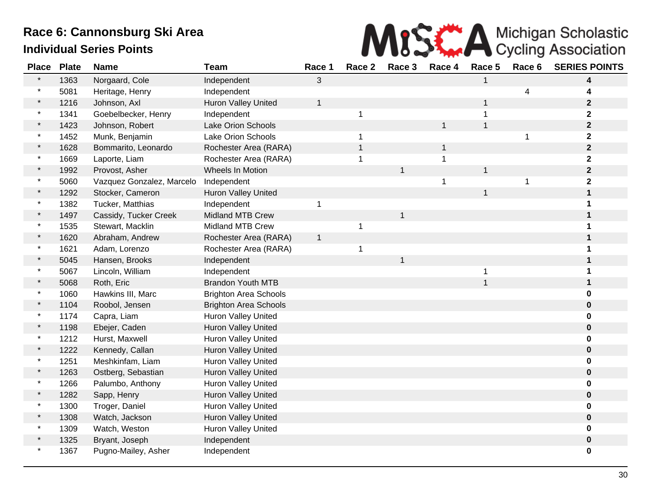

| <b>Place</b> | <b>Plate</b> | <b>Name</b>               | <b>Team</b>                  | Race 1       | Race 2       | Race 3       | Race 4       | Race 5       | Race 6 | <b>SERIES POINTS</b> |
|--------------|--------------|---------------------------|------------------------------|--------------|--------------|--------------|--------------|--------------|--------|----------------------|
|              | 1363         | Norgaard, Cole            | Independent                  | 3            |              |              |              |              |        | 4                    |
|              | 5081         | Heritage, Henry           | Independent                  |              |              |              |              |              | 4      |                      |
|              | 1216         | Johnson, Axl              | Huron Valley United          | $\mathbf{1}$ |              |              |              | 1            |        | $\mathbf{2}$         |
| $\star$      | 1341         | Goebelbecker, Henry       | Independent                  |              | $\mathbf{1}$ |              |              | 1            |        | $\mathbf 2$          |
|              | 1423         | Johnson, Robert           | <b>Lake Orion Schools</b>    |              |              |              | $\mathbf{1}$ | $\mathbf{1}$ |        | $\mathbf 2$          |
|              | 1452         | Munk, Benjamin            | <b>Lake Orion Schools</b>    |              | 1            |              |              |              |        | $\mathbf 2$          |
|              | 1628         | Bommarito, Leonardo       | Rochester Area (RARA)        |              | $\mathbf{1}$ |              | $\mathbf{1}$ |              |        | $\mathbf{2}$         |
| $\star$      | 1669         | Laporte, Liam             | Rochester Area (RARA)        |              | $\mathbf 1$  |              | 1            |              |        | $\mathbf 2$          |
|              | 1992         | Provost, Asher            | Wheels In Motion             |              |              | $\mathbf{1}$ |              | $\mathbf{1}$ |        | $\mathbf{2}$         |
|              | 5060         | Vazquez Gonzalez, Marcelo | Independent                  |              |              |              | 1            |              | 1      | $\mathbf 2$          |
|              | 1292         | Stocker, Cameron          | Huron Valley United          |              |              |              |              | 1            |        | $\mathbf 1$          |
|              | 1382         | Tucker, Matthias          | Independent                  | 1            |              |              |              |              |        |                      |
|              | 1497         | Cassidy, Tucker Creek     | <b>Midland MTB Crew</b>      |              |              | 1            |              |              |        |                      |
|              | 1535         | Stewart, Macklin          | <b>Midland MTB Crew</b>      |              | 1            |              |              |              |        |                      |
|              | 1620         | Abraham, Andrew           | Rochester Area (RARA)        | $\mathbf{1}$ |              |              |              |              |        |                      |
|              | 1621         | Adam, Lorenzo             | Rochester Area (RARA)        |              | 1            |              |              |              |        |                      |
|              | 5045         | Hansen, Brooks            | Independent                  |              |              | $\mathbf 1$  |              |              |        |                      |
|              | 5067         | Lincoln, William          | Independent                  |              |              |              |              | 1            |        |                      |
|              | 5068         | Roth, Eric                | <b>Brandon Youth MTB</b>     |              |              |              |              | $\mathbf{1}$ |        |                      |
|              | 1060         | Hawkins III, Marc         | <b>Brighton Area Schools</b> |              |              |              |              |              |        |                      |
|              | 1104         | Roobol, Jensen            | <b>Brighton Area Schools</b> |              |              |              |              |              |        | $\mathbf 0$          |
| $\star$      | 1174         | Capra, Liam               | Huron Valley United          |              |              |              |              |              |        |                      |
|              | 1198         | Ebejer, Caden             | Huron Valley United          |              |              |              |              |              |        | 0                    |
|              | 1212         | Hurst, Maxwell            | Huron Valley United          |              |              |              |              |              |        |                      |
|              | 1222         | Kennedy, Callan           | <b>Huron Valley United</b>   |              |              |              |              |              |        |                      |
|              | 1251         | Meshkinfam, Liam          | Huron Valley United          |              |              |              |              |              |        |                      |
|              | 1263         | Ostberg, Sebastian        | Huron Valley United          |              |              |              |              |              |        | 0                    |
|              | 1266         | Palumbo, Anthony          | <b>Huron Valley United</b>   |              |              |              |              |              |        | O                    |
|              | 1282         | Sapp, Henry               | Huron Valley United          |              |              |              |              |              |        | 0                    |
|              | 1300         | Troger, Daniel            | Huron Valley United          |              |              |              |              |              |        | 0                    |
|              | 1308         | Watch, Jackson            | Huron Valley United          |              |              |              |              |              |        | 0                    |
|              | 1309         | Watch, Weston             | Huron Valley United          |              |              |              |              |              |        |                      |
|              | 1325         | Bryant, Joseph            | Independent                  |              |              |              |              |              |        | 0                    |
|              | 1367         | Pugno-Mailey, Asher       | Independent                  |              |              |              |              |              |        | 0                    |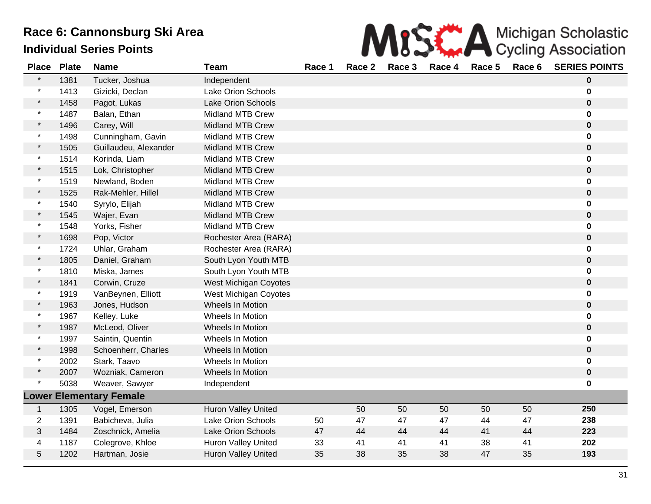| MISK A Michigan Scholastic                          |  |
|-----------------------------------------------------|--|
| .4 Dess.? Dess.? Dess.4 Dess.E Dess.C CEDIFC.DOINTC |  |

| <b>Place</b>   | <b>Plate</b> | <b>Name</b>                    | <b>Team</b>                | Race 1 | Race 2 | Race 3 | Race 4 | Race 5 | Race 6 | <b>SERIES POINTS</b> |
|----------------|--------------|--------------------------------|----------------------------|--------|--------|--------|--------|--------|--------|----------------------|
| $\star$        | 1381         | Tucker, Joshua                 | Independent                |        |        |        |        |        |        | $\bf{0}$             |
| $\star$        | 1413         | Gizicki, Declan                | Lake Orion Schools         |        |        |        |        |        |        | $\bf{0}$             |
|                | 1458         | Pagot, Lukas                   | Lake Orion Schools         |        |        |        |        |        |        | $\mathbf 0$          |
| $\star$        | 1487         | Balan, Ethan                   | <b>Midland MTB Crew</b>    |        |        |        |        |        |        | $\bf{0}$             |
| $\star$        | 1496         | Carey, Will                    | <b>Midland MTB Crew</b>    |        |        |        |        |        |        | $\mathbf 0$          |
| $\star$        | 1498         | Cunningham, Gavin              | <b>Midland MTB Crew</b>    |        |        |        |        |        |        | $\bf{0}$             |
| $\star$        | 1505         | Guillaudeu, Alexander          | <b>Midland MTB Crew</b>    |        |        |        |        |        |        | $\bf{0}$             |
| $\star$        | 1514         | Korinda, Liam                  | <b>Midland MTB Crew</b>    |        |        |        |        |        |        | 0                    |
| $\star$        | 1515         | Lok, Christopher               | <b>Midland MTB Crew</b>    |        |        |        |        |        |        | $\mathbf 0$          |
| $\star$        | 1519         | Newland, Boden                 | <b>Midland MTB Crew</b>    |        |        |        |        |        |        | $\bf{0}$             |
| $\star$        | 1525         | Rak-Mehler, Hillel             | <b>Midland MTB Crew</b>    |        |        |        |        |        |        | $\bf{0}$             |
| $\star$        | 1540         | Syrylo, Elijah                 | <b>Midland MTB Crew</b>    |        |        |        |        |        |        | $\bf{0}$             |
| $\star$        | 1545         | Wajer, Evan                    | <b>Midland MTB Crew</b>    |        |        |        |        |        |        | $\mathbf 0$          |
| $\star$        | 1548         | Yorks, Fisher                  | <b>Midland MTB Crew</b>    |        |        |        |        |        |        | 0                    |
| $\star$        | 1698         | Pop, Victor                    | Rochester Area (RARA)      |        |        |        |        |        |        | $\bf{0}$             |
| $\star$        | 1724         | Uhlar, Graham                  | Rochester Area (RARA)      |        |        |        |        |        |        | $\bf{0}$             |
| $\star$        | 1805         | Daniel, Graham                 | South Lyon Youth MTB       |        |        |        |        |        |        | $\bf{0}$             |
| $\star$        | 1810         | Miska, James                   | South Lyon Youth MTB       |        |        |        |        |        |        | $\mathbf 0$          |
| $\star$        | 1841         | Corwin, Cruze                  | West Michigan Coyotes      |        |        |        |        |        |        | $\bf{0}$             |
| $\star$        | 1919         | VanBeynen, Elliott             | West Michigan Coyotes      |        |        |        |        |        |        | $\bf{0}$             |
| $\star$        | 1963         | Jones, Hudson                  | Wheels In Motion           |        |        |        |        |        |        | $\bf{0}$             |
| $\ast$         | 1967         | Kelley, Luke                   | Wheels In Motion           |        |        |        |        |        |        | $\mathbf 0$          |
| $\star$        | 1987         | McLeod, Oliver                 | Wheels In Motion           |        |        |        |        |        |        | $\bf{0}$             |
| $\star$        | 1997         | Saintin, Quentin               | Wheels In Motion           |        |        |        |        |        |        | $\bf{0}$             |
| $\star$        | 1998         | Schoenherr, Charles            | Wheels In Motion           |        |        |        |        |        |        | $\bf{0}$             |
| $\star$        | 2002         | Stark, Taavo                   | Wheels In Motion           |        |        |        |        |        |        | $\bf{0}$             |
| $\star$        | 2007         | Wozniak, Cameron               | Wheels In Motion           |        |        |        |        |        |        | $\bf{0}$             |
| $\star$        | 5038         | Weaver, Sawyer                 | Independent                |        |        |        |        |        |        | $\bf{0}$             |
|                |              | <b>Lower Elementary Female</b> |                            |        |        |        |        |        |        |                      |
| $\mathbf{1}$   | 1305         | Vogel, Emerson                 | <b>Huron Valley United</b> |        | 50     | 50     | 50     | 50     | 50     | 250                  |
| $\overline{2}$ | 1391         | Babicheva, Julia               | Lake Orion Schools         | 50     | 47     | 47     | 47     | 44     | 47     | 238                  |
| 3              | 1484         | Zoschnick, Amelia              | Lake Orion Schools         | 47     | 44     | 44     | 44     | 41     | 44     | 223                  |
| 4              | 1187         | Colegrove, Khloe               | Huron Valley United        | 33     | 41     | 41     | 41     | 38     | 41     | 202                  |
| 5              | 1202         | Hartman, Josie                 | <b>Huron Valley United</b> | 35     | 38     | 35     | 38     | 47     | 35     | 193                  |
|                |              |                                |                            |        |        |        |        |        |        |                      |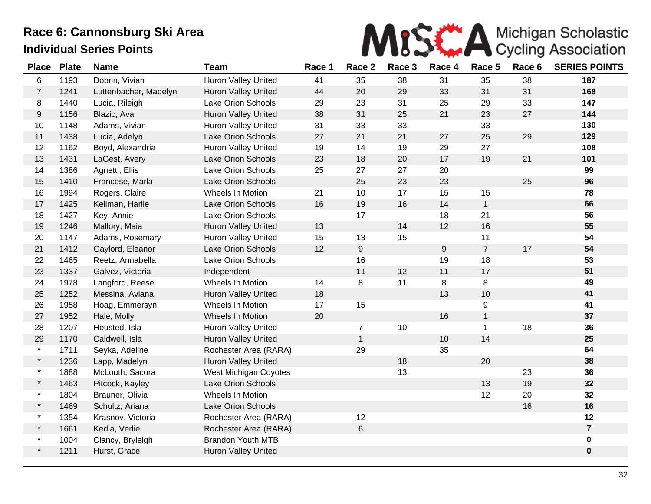

| <b>Place</b>   | <b>Plate</b> | <b>Name</b>           | <b>Team</b>                | Race 1 | Race 2           | Race 3 | Race 4           | Race 5         | Race 6 | <b>SERIES POINTS</b> |
|----------------|--------------|-----------------------|----------------------------|--------|------------------|--------|------------------|----------------|--------|----------------------|
| 6              | 1193         | Dobrin, Vivian        | Huron Valley United        | 41     | 35               | 38     | 31               | 35             | 38     | 187                  |
| $\overline{7}$ | 1241         | Luttenbacher, Madelyn | <b>Huron Valley United</b> | 44     | 20               | 29     | 33               | 31             | 31     | 168                  |
| 8              | 1440         | Lucia, Rileigh        | <b>Lake Orion Schools</b>  | 29     | 23               | 31     | 25               | 29             | 33     | 147                  |
| 9              | 1156         | Blazic, Ava           | Huron Valley United        | 38     | 31               | 25     | 21               | 23             | 27     | 144                  |
| 10             | 1148         | Adams, Vivian         | Huron Valley United        | 31     | 33               | 33     |                  | 33             |        | 130                  |
| 11             | 1438         | Lucia, Adelyn         | <b>Lake Orion Schools</b>  | 27     | 21               | 21     | 27               | 25             | 29     | 129                  |
| 12             | 1162         | Boyd, Alexandria      | Huron Valley United        | 19     | 14               | 19     | 29               | 27             |        | 108                  |
| 13             | 1431         | LaGest, Avery         | Lake Orion Schools         | 23     | 18               | 20     | 17               | 19             | 21     | 101                  |
| 14             | 1386         | Agnetti, Ellis        | Lake Orion Schools         | 25     | 27               | 27     | 20               |                |        | 99                   |
| 15             | 1410         | Francese, Marla       | Lake Orion Schools         |        | 25               | 23     | 23               |                | 25     | 96                   |
| 16             | 1994         | Rogers, Claire        | Wheels In Motion           | 21     | 10               | 17     | 15               | 15             |        | 78                   |
| 17             | 1425         | Keilman, Harlie       | Lake Orion Schools         | 16     | 19               | 16     | 14               | $\mathbf{1}$   |        | 66                   |
| 18             | 1427         | Key, Annie            | Lake Orion Schools         |        | 17               |        | 18               | 21             |        | 56                   |
| 19             | 1246         | Mallory, Maia         | Huron Valley United        | 13     |                  | 14     | 12               | 16             |        | 55                   |
| 20             | 1147         | Adams, Rosemary       | Huron Valley United        | 15     | 13               | 15     |                  | 11             |        | 54                   |
| 21             | 1412         | Gaylord, Eleanor      | Lake Orion Schools         | 12     | $\boldsymbol{9}$ |        | $\boldsymbol{9}$ | $\overline{7}$ | 17     | 54                   |
| 22             | 1465         | Reetz, Annabella      | <b>Lake Orion Schools</b>  |        | 16               |        | 19               | 18             |        | 53                   |
| 23             | 1337         | Galvez, Victoria      | Independent                |        | 11               | 12     | 11               | 17             |        | 51                   |
| 24             | 1978         | Langford, Reese       | Wheels In Motion           | 14     | 8                | 11     | 8                | 8              |        | 49                   |
| 25             | 1252         | Messina, Aviana       | Huron Valley United        | 18     |                  |        | 13               | 10             |        | 41                   |
| 26             | 1958         | Hoag, Emmersyn        | Wheels In Motion           | 17     | 15               |        |                  | 9              |        | 41                   |
| 27             | 1952         | Hale, Molly           | Wheels In Motion           | 20     |                  |        | 16               | $\mathbf{1}$   |        | 37                   |
| 28             | 1207         | Heusted, Isla         | <b>Huron Valley United</b> |        | $\overline{7}$   | 10     |                  | $\mathbf{1}$   | 18     | 36                   |
| 29             | 1170         | Caldwell, Isla        | Huron Valley United        |        | $\mathbf{1}$     |        | 10               | 14             |        | 25                   |
| $\star$        | 1711         | Seyka, Adeline        | Rochester Area (RARA)      |        | 29               |        | 35               |                |        | 64                   |
| $\star$        | 1236         | Lapp, Madelyn         | Huron Valley United        |        |                  | 18     |                  | 20             |        | 38                   |
| $\star$        | 1888         | McLouth, Sacora       | West Michigan Coyotes      |        |                  | 13     |                  |                | 23     | 36                   |
| $\star$        | 1463         | Pitcock, Kayley       | Lake Orion Schools         |        |                  |        |                  | 13             | 19     | 32                   |
| $\star$        | 1804         | Brauner, Olivia       | Wheels In Motion           |        |                  |        |                  | 12             | 20     | 32                   |
| $\star$        | 1469         | Schultz, Ariana       | Lake Orion Schools         |        |                  |        |                  |                | 16     | 16                   |
| $\star$        | 1354         | Krasnov, Victoria     | Rochester Area (RARA)      |        | 12               |        |                  |                |        | 12                   |
| $\star$        | 1661         | Kedia, Verlie         | Rochester Area (RARA)      |        | $\,6\,$          |        |                  |                |        | $\overline{7}$       |
| $\star$        | 1004         | Clancy, Bryleigh      | <b>Brandon Youth MTB</b>   |        |                  |        |                  |                |        | $\mathbf 0$          |
| $\star$        | 1211         | Hurst, Grace          | Huron Valley United        |        |                  |        |                  |                |        | $\pmb{0}$            |
|                |              |                       |                            |        |                  |        |                  |                |        |                      |